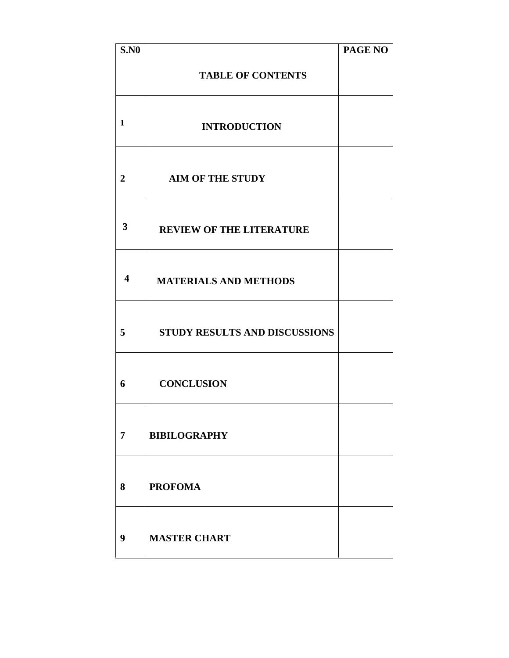| <b>S.NO</b>             |                                 | <b>PAGE NO</b> |
|-------------------------|---------------------------------|----------------|
|                         | <b>TABLE OF CONTENTS</b>        |                |
| 1                       | <b>INTRODUCTION</b>             |                |
| $\boldsymbol{2}$        | <b>AIM OF THE STUDY</b>         |                |
| $\overline{\mathbf{3}}$ | <b>REVIEW OF THE LITERATURE</b> |                |
| 4                       | <b>MATERIALS AND METHODS</b>    |                |
| 5                       | STUDY RESULTS AND DISCUSSIONS   |                |
| 6                       | <b>CONCLUSION</b>               |                |
| $\overline{7}$          | <b>BIBILOGRAPHY</b>             |                |
| 8                       | <b>PROFOMA</b>                  |                |
| 9                       | <b>MASTER CHART</b>             |                |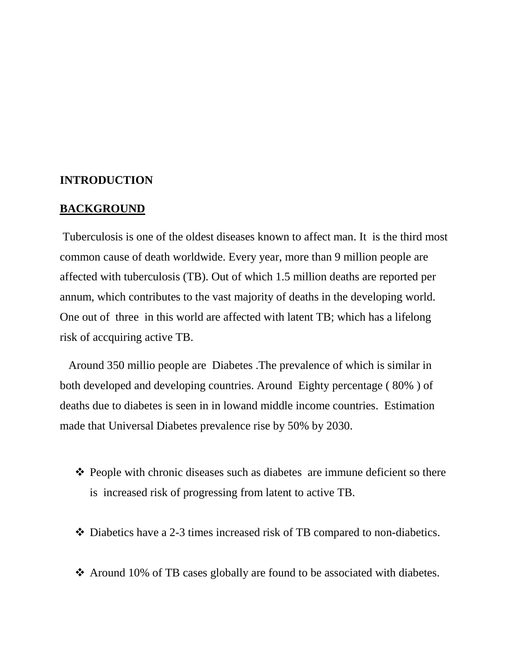## **INTRODUCTION**

#### **BACKGROUND**

Tuberculosis is one of the oldest diseases known to affect man. It is the third most common cause of death worldwide. Every year, more than 9 million people are affected with tuberculosis (TB). Out of which 1.5 million deaths are reported per annum, which contributes to the vast majority of deaths in the developing world. One out of three in this world are affected with latent TB; which has a lifelong risk of accquiring active TB.

Around 350 millio people are Diabetes .The prevalence of which is similar in both developed and developing countries. Around Eighty percentage ( 80% ) of deaths due to diabetes is seen in in lowand middle income countries. Estimation made that Universal Diabetes prevalence rise by 50% by 2030.

- $\triangle$  People with chronic diseases such as diabetes are immune deficient so there is increased risk of progressing from latent to active TB.
- Diabetics have a 2-3 times increased risk of TB compared to non-diabetics.
- Around 10% of TB cases globally are found to be associated with diabetes.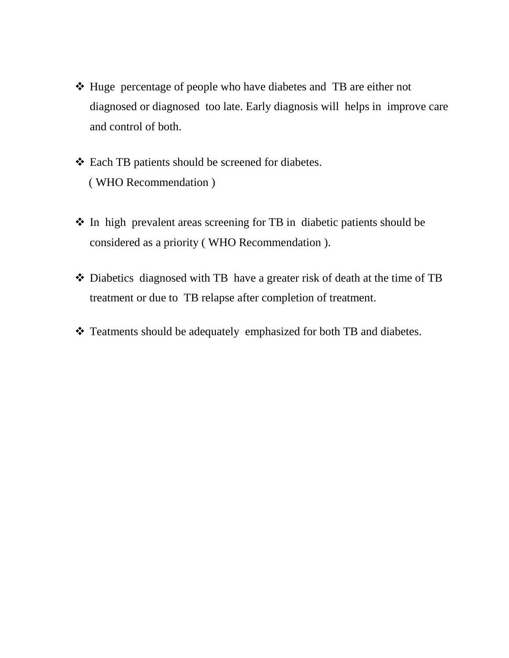- Huge percentage of people who have diabetes and TB are either not diagnosed or diagnosed too late. Early diagnosis will helps in improve care and control of both.
- Each TB patients should be screened for diabetes. ( WHO Recommendation )
- In high prevalent areas screening for TB in diabetic patients should be considered as a priority ( WHO Recommendation ).
- Diabetics diagnosed with TB have a greater risk of death at the time of TB treatment or due to TB relapse after completion of treatment.
- \* Teatments should be adequately emphasized for both TB and diabetes.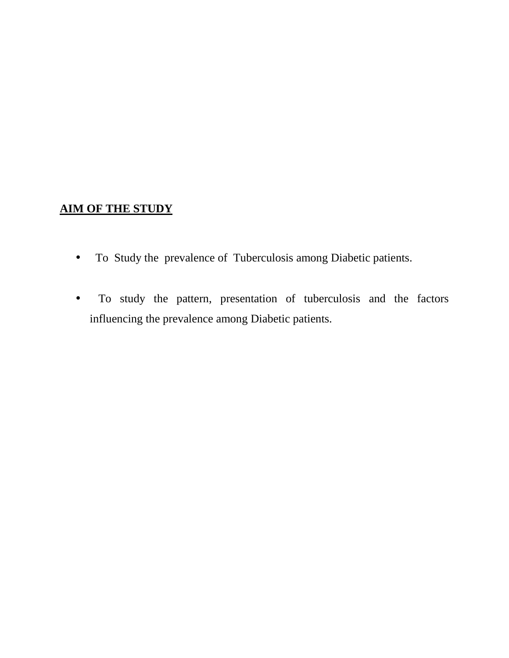# **AIM OF THE STUDY**

- To Study the prevalence of Tuberculosis among Diabetic patients.
- To study the pattern, presentation of tuberculosis and the factors influencing the prevalence among Diabetic patients.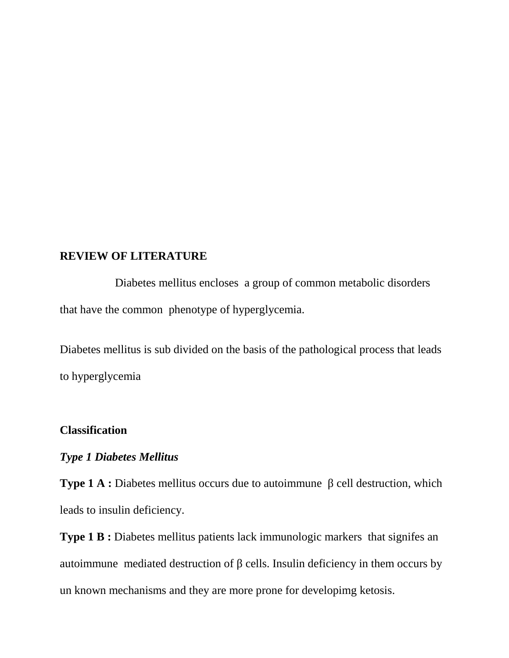#### **REVIEW OF LITERATURE**

Diabetes mellitus encloses a group of common metabolic disorders that have the common phenotype of hyperglycemia.

Diabetes mellitus is sub divided on the basis of the pathological process that leads to hyperglycemia

## **Classification**

## *Type 1 Diabetes Mellitus*

**Type 1 A :** Diabetes mellitus occurs due to autoimmune cell destruction, which leads to insulin deficiency.

**Type 1 B :** Diabetes mellitus patients lack immunologic markers that signifes an autoimmune mediated destruction of cells. Insulin deficiency in them occurs by un known mechanisms and they are more prone for developimg ketosis.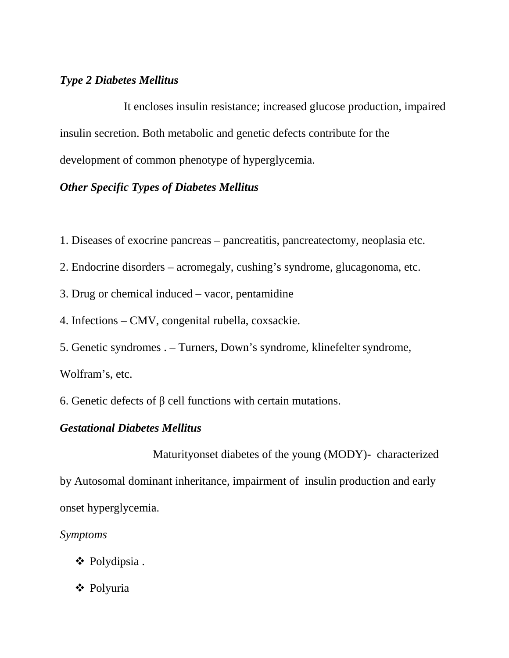# *Type 2 Diabetes Mellitus*

It encloses insulin resistance; increased glucose production, impaired insulin secretion. Both metabolic and genetic defects contribute for the development of common phenotype of hyperglycemia.

# *Other Specific Types of Diabetes Mellitus*

- 1. Diseases of exocrine pancreas pancreatitis, pancreatectomy, neoplasia etc.
- 2. Endocrine disorders acromegaly, cushing's syndrome, glucagonoma, etc.
- 3. Drug or chemical induced vacor, pentamidine
- 4. Infections CMV, congenital rubella, coxsackie.
- 5. Genetic syndromes . Turners, Down's syndrome, klinefelter syndrome,

Wolfram's, etc.

6. Genetic defects of cell functions with certain mutations.

### *Gestational Diabetes Mellitus*

Maturityonset diabetes of the young (MODY)- characterized by Autosomal dominant inheritance, impairment of insulin production and early onset hyperglycemia.

## *Symptoms*

- Polydipsia .
- Polyuria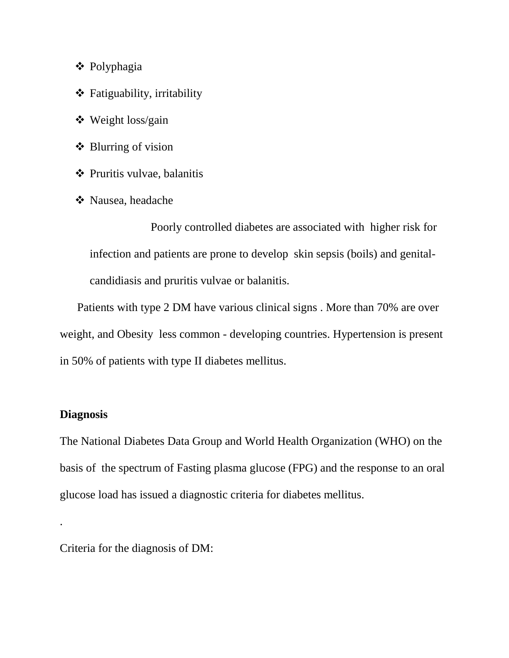- Polyphagia
- $\triangleleft$  Fatiguability, irritability
- Weight loss/gain
- $\triangle$  Blurring of vision
- Pruritis vulvae, balanitis
- Nausea, headache

Poorly controlled diabetes are associated with higher risk for infection and patients are prone to develop skin sepsis (boils) and genital candidiasis and pruritis vulvae or balanitis.

Patients with type 2 DM have various clinical signs . More than 70% are over weight, and Obesity less common - developing countries. Hypertension is present in 50% of patients with type II diabetes mellitus.

## **Diagnosis**

The National Diabetes Data Group and World Health Organization (WHO) on the basis of the spectrum of Fasting plasma glucose (FPG) and the response to an oral glucose load has issued a diagnostic criteria for diabetes mellitus.

.Criteria for the diagnosis of DM: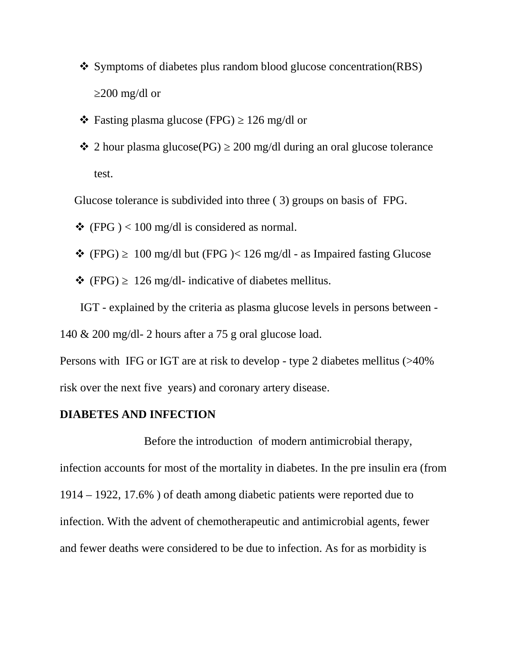- \* Symptoms of diabetes plus random blood glucose concentration(RBS) 200 mg/dl or
- $\div$  Fasting plasma glucose (FPG) 126 mg/dl or
- $\div$  2 hour plasma glucose(PG) 200 mg/dl during an oral glucose tolerance test.

Glucose tolerance is subdivided into three ( 3) groups on basis of FPG.

- $\div$  (FPG ) < 100 mg/dl is considered as normal.
- $\div$  (FPG) 100 mg/dl but (FPG )< 126 mg/dl as Impaired fasting Glucose
- $\div$  (FPG) 126 mg/dl- indicative of diabetes mellitus.

IGT - explained by the criteria as plasma glucose levels in persons between - 140 & 200 mg/dl- 2 hours after a 75 g oral glucose load.

Persons with IFG or IGT are at risk to develop - type 2 diabetes mellitus (>40% risk over the next five years) and coronary artery disease.

#### **DIABETES AND INFECTION**

Before the introduction of modern antimicrobial therapy, infection accounts for most of the mortality in diabetes. In the pre insulin era (from 1914 – 1922, 17.6% ) of death among diabetic patients were reported due to infection. With the advent of chemotherapeutic and antimicrobial agents, fewer and fewer deaths were considered to be due to infection. As for as morbidity is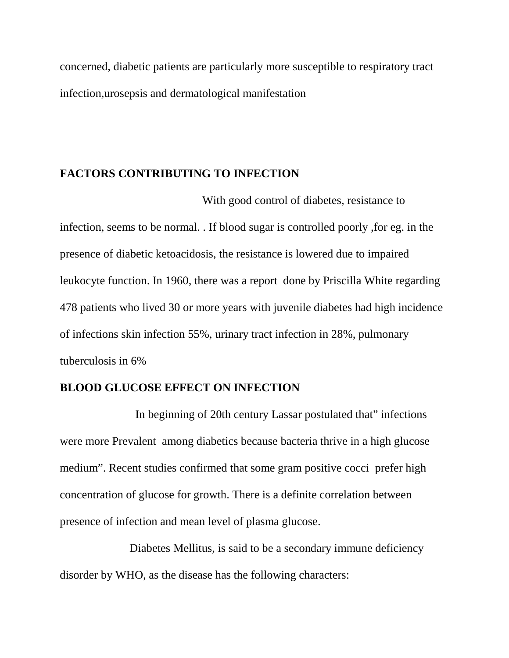concerned, diabetic patients are particularly more susceptible to respiratory tract infection,urosepsis and dermatological manifestation

### **FACTORS CONTRIBUTING TO INFECTION**

With good control of diabetes, resistance to infection, seems to be normal. . If blood sugar is controlled poorly ,for eg. in the presence of diabetic ketoacidosis, the resistance is lowered due to impaired leukocyte function. In 1960, there was a report done by Priscilla White regarding 478 patients who lived 30 or more years with juvenile diabetes had high incidence of infections skin infection 55%, urinary tract infection in 28%, pulmonary tuberculosis in 6%

# **BLOOD GLUCOSE EFFECT ON INFECTION**

In beginning of 20th century Lassar postulated that" infections were more Prevalent among diabetics because bacteria thrive in a high glucose medium". Recent studies confirmed that some gram positive cocci prefer high concentration of glucose for growth. There is a definite correlation between presence of infection and mean level of plasma glucose.

Diabetes Mellitus, is said to be a secondary immune deficiency disorder by WHO, as the disease has the following characters: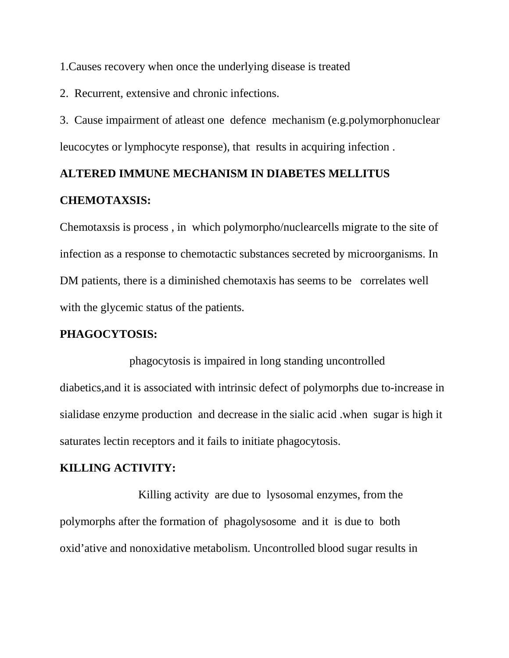1.Causes recovery when once the underlying disease is treated

2. Recurrent, extensive and chronic infections.

3. Cause impairment of atleast one defence mechanism (e.g.polymorphonuclear leucocytes or lymphocyte response), that results in acquiring infection .

# **ALTERED IMMUNE MECHANISM IN DIABETES MELLITUS CHEMOTAXSIS:**

Chemotaxsis is process , in which polymorpho/nuclearcells migrate to the site of infection as a response to chemotactic substances secreted by microorganisms. In DM patients, there is a diminished chemotaxis has seems to be correlates well with the glycemic status of the patients.

# **PHAGOCYTOSIS:**

phagocytosis is impaired in long standing uncontrolled diabetics,and it is associated with intrinsic defect of polymorphs due to-increase in sialidase enzyme production and decrease in the sialic acid .when sugar is high it saturates lectin receptors and it fails to initiate phagocytosis.

## **KILLING ACTIVITY:**

Killing activity are due to lysosomal enzymes, from the polymorphs after the formation of phagolysosome and it is due to both oxid'ative and nonoxidative metabolism. Uncontrolled blood sugar results in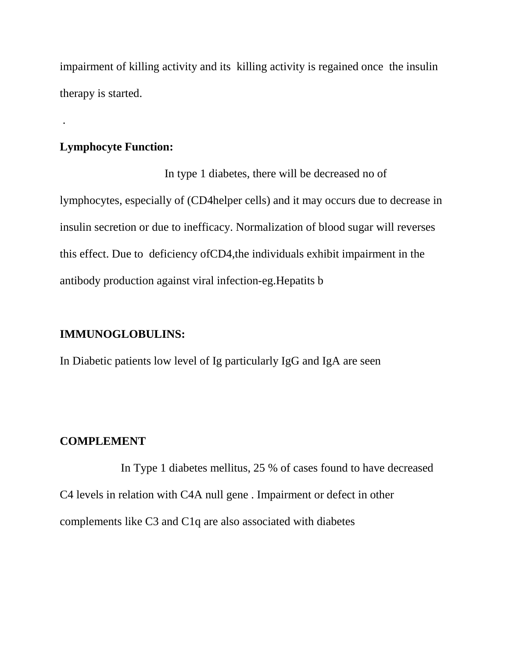impairment of killing activity and its killing activity is regained once the insulin therapy is started.

## **Lymphocyte Function:**

.

In type 1 diabetes, there will be decreased no of lymphocytes, especially of (CD4helper cells) and it may occurs due to decrease in insulin secretion or due to inefficacy. Normalization of blood sugar will reverses this effect. Due to deficiency ofCD4,the individuals exhibit impairment in the antibody production against viral infection-eg.Hepatits b

## **IMMUNOGLOBULINS:**

In Diabetic patients low level of Ig particularly IgG and IgA are seen

# **COMPLEMENT**

In Type 1 diabetes mellitus, 25 % of cases found to have decreased C4 levels in relation with C4A null gene . Impairment or defect in other complements like C3 and C1q are also associated with diabetes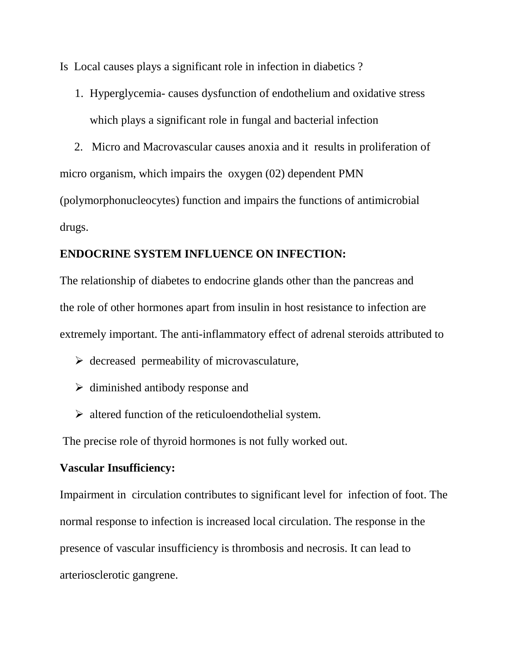Is Local causes plays a significant role in infection in diabetics ?

- 1. Hyperglycemia- causes dysfunction of endothelium and oxidative stress which plays a significant role in fungal and bacterial infection
- 2. Micro and Macrovascular causes anoxia and it results in proliferation of

micro organism, which impairs the oxygen (02) dependent PMN

(polymorphonucleocytes) function and impairs the functions of antimicrobial drugs.

## **ENDOCRINE SYSTEM INFLUENCE ON INFECTION:**

The relationship of diabetes to endocrine glands other than the pancreas and the role of other hormones apart from insulin in host resistance to infection are extremely important. The anti-inflammatory effect of adrenal steroids attributed to

- $\triangleright$  decreased permeability of microvasculature,
- $\triangleright$  diminished antibody response and
- $\triangleright$  altered function of the reticuloendothelial system.

The precise role of thyroid hormones is not fully worked out.

## **Vascular Insufficiency:**

Impairment in circulation contributes to significant level for infection of foot. The normal response to infection is increased local circulation. The response in the presence of vascular insufficiency is thrombosis and necrosis. It can lead to arteriosclerotic gangrene.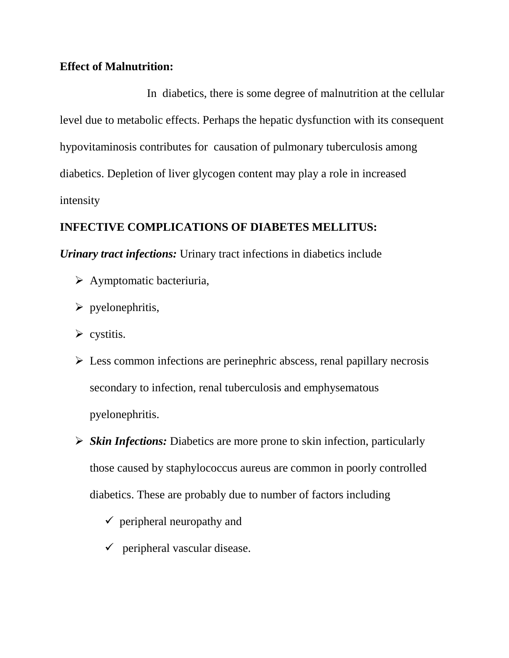## **Effect of Malnutrition:**

In diabetics, there is some degree of malnutrition at the cellular level due to metabolic effects. Perhaps the hepatic dysfunction with its consequent hypovitaminosis contributes for causation of pulmonary tuberculosis among diabetics. Depletion of liver glycogen content may play a role in increased intensity

# **INFECTIVE COMPLICATIONS OF DIABETES MELLITUS:**

*Urinary tract infections:* Urinary tract infections in diabetics include

- $\triangleright$  Aymptomatic bacteriuria,
- $\triangleright$  pyelonephritis,
- $\triangleright$  cystitis.
- $\triangleright$  Less common infections are perinephric abscess, renal papillary necrosis secondary to infection, renal tuberculosis and emphysematous pyelonephritis.
- *Skin Infections:* Diabetics are more prone to skin infection, particularly those caused by staphylococcus aureus are common in poorly controlled diabetics. These are probably due to number of factors including
	- $\checkmark$  peripheral neuropathy and
	- $\checkmark$  peripheral vascular disease.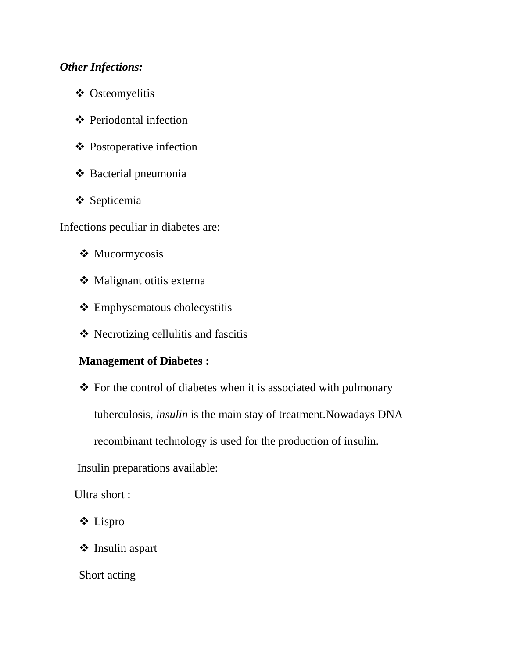# *Other Infections:*

- Osteomyelitis
- ❖ Periodontal infection
- ❖ Postoperative infection
- **❖** Bacterial pneumonia
- **❖** Septicemia

Infections peculiar in diabetes are:

- **❖** Mucormycosis
- Malignant otitis externa
- Emphysematous cholecystitis
- $\triangleleft$  Necrotizing cellulitis and fascitis

# **Management of Diabetes :**

 $\triangle$  For the control of diabetes when it is associated with pulmonary

tuberculosis, *insulin* is the main stay of treatment.Nowadays DNA

recombinant technology is used for the production of insulin.

Insulin preparations available:

Ultra short :

Lispro

Insulin aspart

Short acting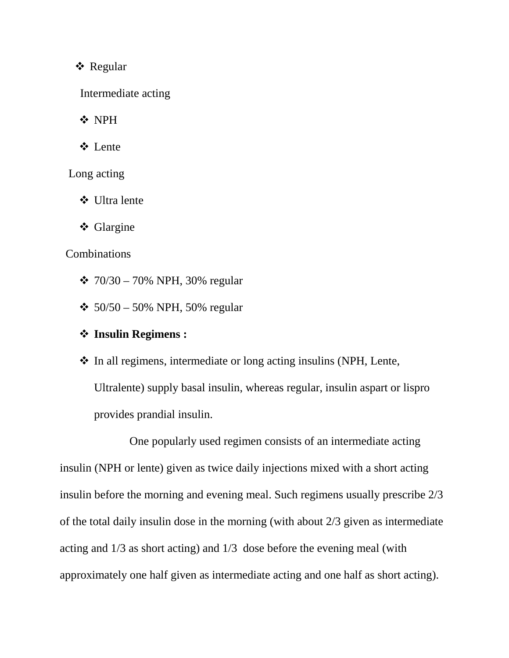# **❖** Regular

Intermediate acting

**❖ NPH** 

Lente

Long acting

Ultra lente

**❖** Glargine

## **Combinations**

- $\div$  70/30 70% NPH, 30% regular
- $\div$  50/50 50% NPH, 50% regular

# **Insulin Regimens :**

• In all regimens, intermediate or long acting insulins (NPH, Lente, Ultralente) supply basal insulin, whereas regular, insulin aspart or lispro provides prandial insulin.

One popularly used regimen consists of an intermediate acting insulin (NPH or lente) given as twice daily injections mixed with a short acting insulin before the morning and evening meal. Such regimens usually prescribe 2/3 of the total daily insulin dose in the morning (with about 2/3 given as intermediate acting and 1/3 as short acting) and 1/3 dose before the evening meal (with approximately one half given as intermediate acting and one half as short acting).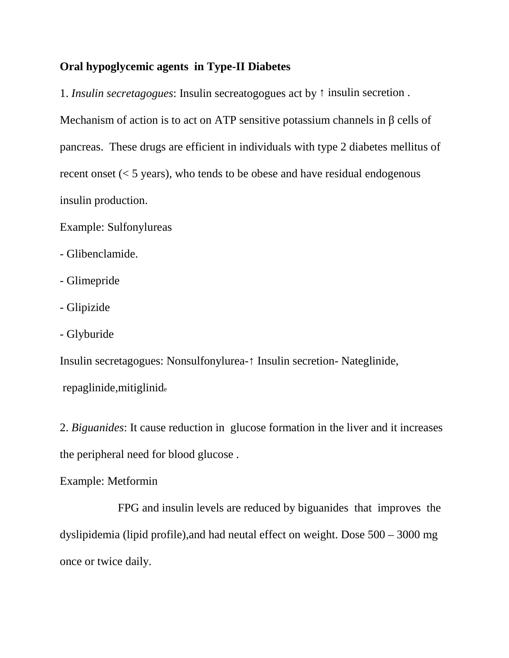## **Oral hypoglycemic agents in Type-II Diabetes**

1. *Insulin secretagogues*: Insulin secreatogogues act by insulin secretion. Mechanism of action is to act on ATP sensitive potassium channels in cells of pancreas. These drugs are efficient in individuals with type 2 diabetes mellitus of recent onset (< 5 years), who tends to be obese and have residual endogenous insulin production.

Example: Sulfonylureas

- Glibenclamide.
- Glimepride
- Glipizide
- Glyburide

Insulin secretagogues: Nonsulfonylurea-↑ Insulin secretion- Nateglinide, repaglinide,mitiglinid<sup>e</sup>

2. *Biguanides*: It cause reduction in glucose formation in the liver and it increases the peripheral need for blood glucose .

Example: Metformin

FPG and insulin levels are reduced by biguanides that improves the dyslipidemia (lipid profile),and had neutal effect on weight. Dose 500 – 3000 mg once or twice daily.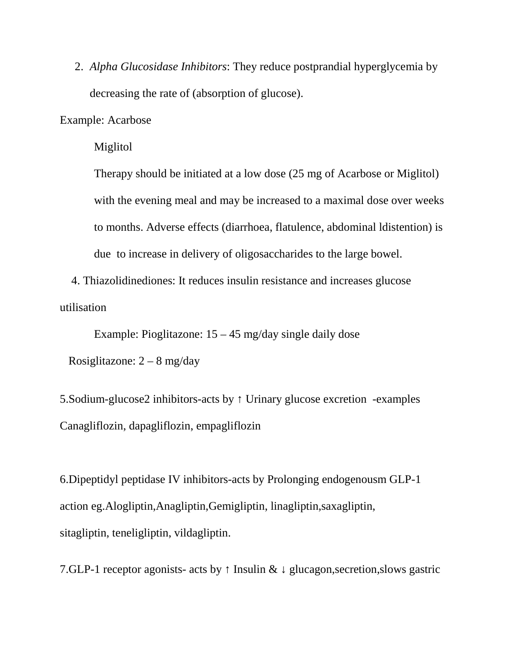2. *Alpha Glucosidase Inhibitors*: They reduce postprandial hyperglycemia by decreasing the rate of (absorption of glucose).

Example: Acarbose

Miglitol

Therapy should be initiated at a low dose (25 mg of Acarbose or Miglitol) with the evening meal and may be increased to a maximal dose over weeks to months. Adverse effects (diarrhoea, flatulence, abdominal ldistention) is due to increase in delivery of oligosaccharides to the large bowel.

4. Thiazolidinediones: It reduces insulin resistance and increases glucose utilisation

Example: Pioglitazone: 15 – 45 mg/day single daily dose

Rosiglitazone:  $2 - 8$  mg/day

5.Sodium-glucose2 inhibitors-acts by Urinary glucose excretion -examples Canagliflozin, dapagliflozin, empagliflozin

6.Dipeptidyl peptidase IV inhibitors-acts by Prolonging endogenousm GLP-1 action eg.Alogliptin,Anagliptin,Gemigliptin, linagliptin,saxagliptin, sitagliptin, teneligliptin, vildagliptin.

7.GLP-1 receptor agonists- acts by Insulin & glucagon, secretion, slows gastric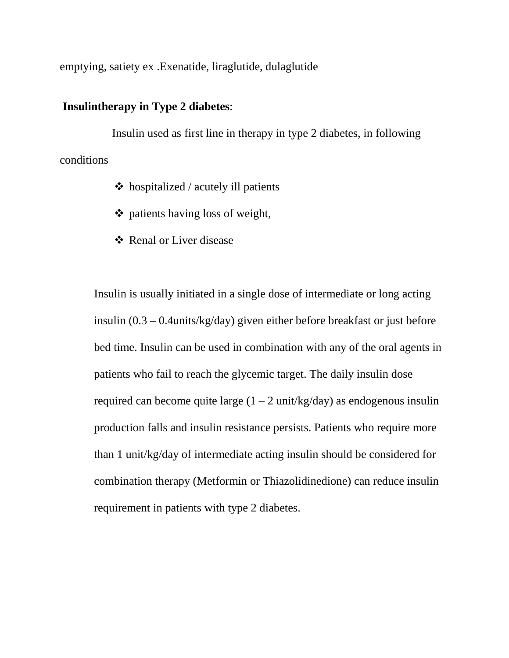emptying, satiety ex .Exenatide, liraglutide, dulaglutide

# **Insulintherapy in Type 2 diabetes**:

Insulin used as first line in therapy in type 2 diabetes, in following conditions

- $\triangleleft$  hospitalized / acutely ill patients
- $\triangleleft$  patients having loss of weight,
- Renal or Liver disease

Insulin is usually initiated in a single dose of intermediate or long acting insulin (0.3 – 0.4units/kg/day) given either before breakfast or just before bed time. Insulin can be used in combination with any of the oral agents in patients who fail to reach the glycemic target. The daily insulin dose required can become quite large  $(1 – 2 \text{ unit/kg/day})$  as endogenous insulin production falls and insulin resistance persists. Patients who require more than 1 unit/kg/day of intermediate acting insulin should be considered for combination therapy (Metformin or Thiazolidinedione) can reduce insulin requirement in patients with type 2 diabetes.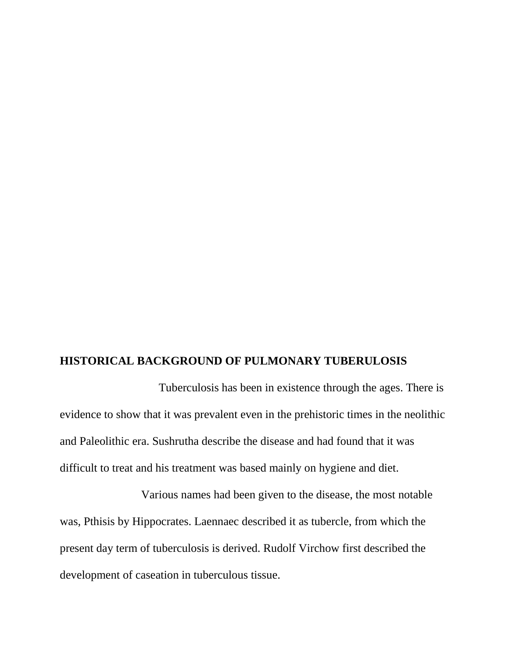#### **HISTORICAL BACKGROUND OF PULMONARY TUBERULOSIS**

Tuberculosis has been in existence through the ages. There is evidence to show that it was prevalent even in the prehistoric times in the neolithic and Paleolithic era. Sushrutha describe the disease and had found that it was difficult to treat and his treatment was based mainly on hygiene and diet.

Various names had been given to the disease, the most notable was, Pthisis by Hippocrates. Laennaec described it as tubercle, from which the present day term of tuberculosis is derived. Rudolf Virchow first described the development of caseation in tuberculous tissue.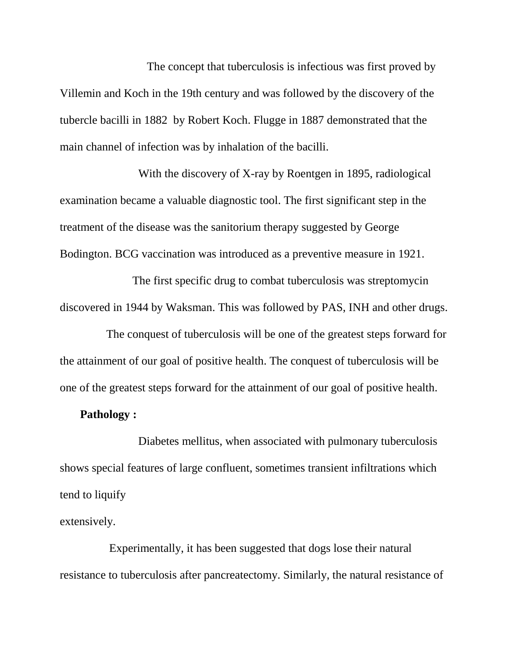The concept that tuberculosis is infectious was first proved by Villemin and Koch in the 19th century and was followed by the discovery of the tubercle bacilli in 1882 by Robert Koch. Flugge in 1887 demonstrated that the main channel of infection was by inhalation of the bacilli.

With the discovery of X-ray by Roentgen in 1895, radiological examination became a valuable diagnostic tool. The first significant step in the treatment of the disease was the sanitorium therapy suggested by George Bodington. BCG vaccination was introduced as a preventive measure in 1921.

The first specific drug to combat tuberculosis was streptomycin discovered in 1944 by Waksman. This was followed by PAS, INH and other drugs.

The conquest of tuberculosis will be one of the greatest steps forward for the attainment of our goal of positive health. The conquest of tuberculosis will be one of the greatest steps forward for the attainment of our goal of positive health.

# **Pathology :**

Diabetes mellitus, when associated with pulmonary tuberculosis shows special features of large confluent, sometimes transient infiltrations which tend to liquify

extensively.

Experimentally, it has been suggested that dogs lose their natural resistance to tuberculosis after pancreatectomy. Similarly, the natural resistance of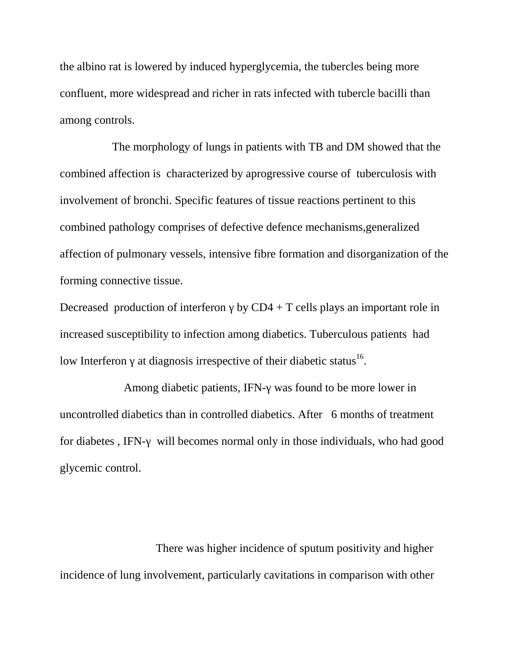the albino rat is lowered by induced hyperglycemia, the tubercles being more confluent, more widespread and richer in rats infected with tubercle bacilli than among controls.

The morphology of lungs in patients with TB and DM showed that the combined affection is characterized by aprogressive course of tuberculosis with involvement of bronchi. Specific features of tissue reactions pertinent to this combined pathology comprises of defective defence mechanisms,generalized affection of pulmonary vessels, intensive fibre formation and disorganization of the forming connective tissue.

Decreased production of interferon by  $CD4 + T$  cells plays an important role in increased susceptibility to infection among diabetics. Tuberculous patients had low Interferon at diagnosis irrespective of their diabetic status<sup>16</sup>.

Among diabetic patients, IFN- was found to be more lower in uncontrolled diabetics than in controlled diabetics. After 6 months of treatment for diabetes , IFN- will becomes normal only in those individuals, who had good glycemic control.

There was higher incidence of sputum positivity and higher incidence of lung involvement, particularly cavitations in comparison with other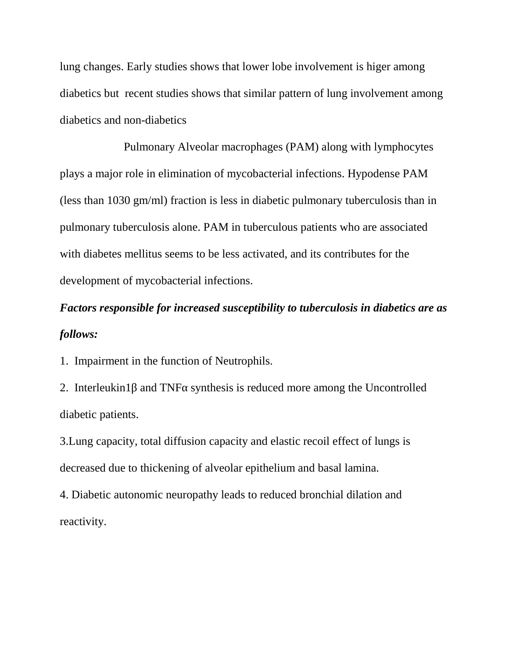lung changes. Early studies shows that lower lobe involvement is higer among diabetics but recent studies shows that similar pattern of lung involvement among diabetics and non-diabetics

Pulmonary Alveolar macrophages (PAM) along with lymphocytes plays a major role in elimination of mycobacterial infections. Hypodense PAM (less than 1030 gm/ml) fraction is less in diabetic pulmonary tuberculosis than in pulmonary tuberculosis alone. PAM in tuberculous patients who are associated with diabetes mellitus seems to be less activated, and its contributes for the development of mycobacterial infections.

# *Factors responsible for increased susceptibility to tuberculosis in diabetics are as follows:*

1. Impairment in the function of Neutrophils.

2. Interleukin1 and TNF synthesis is reduced more among the Uncontrolled diabetic patients.

3.Lung capacity, total diffusion capacity and elastic recoil effect of lungs is decreased due to thickening of alveolar epithelium and basal lamina.

4. Diabetic autonomic neuropathy leads to reduced bronchial dilation and reactivity.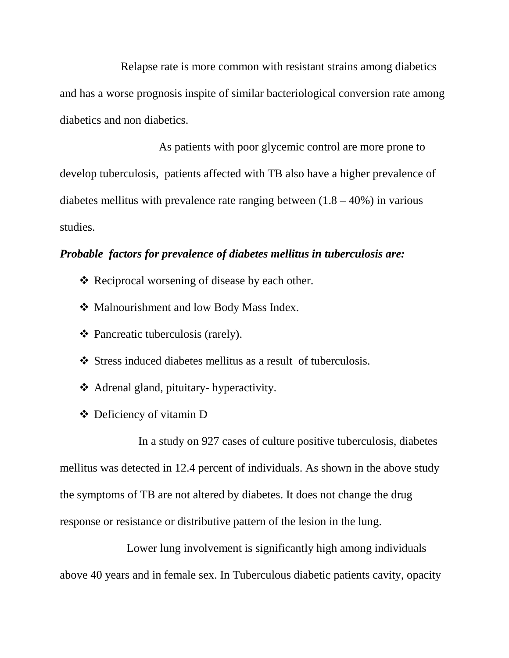Relapse rate is more common with resistant strains among diabetics and has a worse prognosis inspite of similar bacteriological conversion rate among diabetics and non diabetics.

As patients with poor glycemic control are more prone to develop tuberculosis, patients affected with TB also have a higher prevalence of diabetes mellitus with prevalence rate ranging between  $(1.8 - 40\%)$  in various studies.

# *Probable factors for prevalence of diabetes mellitus in tuberculosis are:*

- ❖ Reciprocal worsening of disease by each other.
- ❖ Malnourishment and low Body Mass Index.
- Pancreatic tuberculosis (rarely).
- Stress induced diabetes mellitus as a result of tuberculosis.
- Adrenal gland, pituitary- hyperactivity.
- Deficiency of vitamin D

In a study on 927 cases of culture positive tuberculosis, diabetes mellitus was detected in 12.4 percent of individuals. As shown in the above study the symptoms of TB are not altered by diabetes. It does not change the drug response or resistance or distributive pattern of the lesion in the lung.

Lower lung involvement is significantly high among individuals above 40 years and in female sex. In Tuberculous diabetic patients cavity, opacity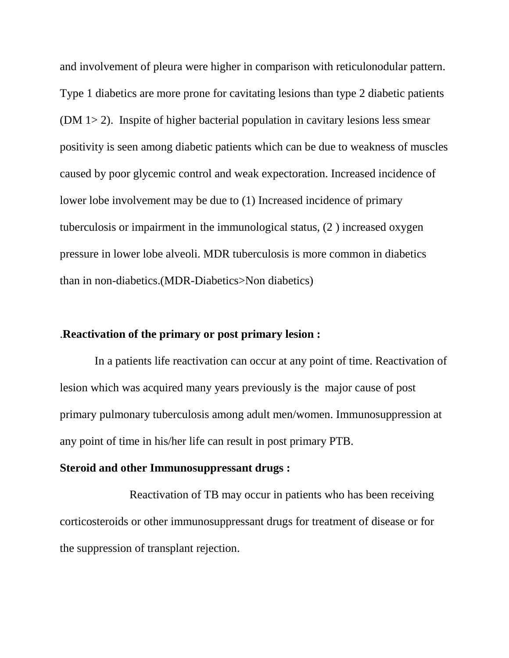and involvement of pleura were higher in comparison with reticulonodular pattern. Type 1 diabetics are more prone for cavitating lesions than type 2 diabetic patients (DM 1> 2). Inspite of higher bacterial population in cavitary lesions less smear positivity is seen among diabetic patients which can be due to weakness of muscles caused by poor glycemic control and weak expectoration. Increased incidence of lower lobe involvement may be due to (1) Increased incidence of primary tuberculosis or impairment in the immunological status, (2 ) increased oxygen pressure in lower lobe alveoli. MDR tuberculosis is more common in diabetics than in non-diabetics.(MDR-Diabetics>Non diabetics)

#### .**Reactivation of the primary or post primary lesion :**

In a patients life reactivation can occur at any point of time. Reactivation of lesion which was acquired many years previously is the major cause of post primary pulmonary tuberculosis among adult men/women. Immunosuppression at any point of time in his/her life can result in post primary PTB.

#### **Steroid and other Immunosuppressant drugs :**

Reactivation of TB may occur in patients who has been receiving corticosteroids or other immunosuppressant drugs for treatment of disease or for the suppression of transplant rejection.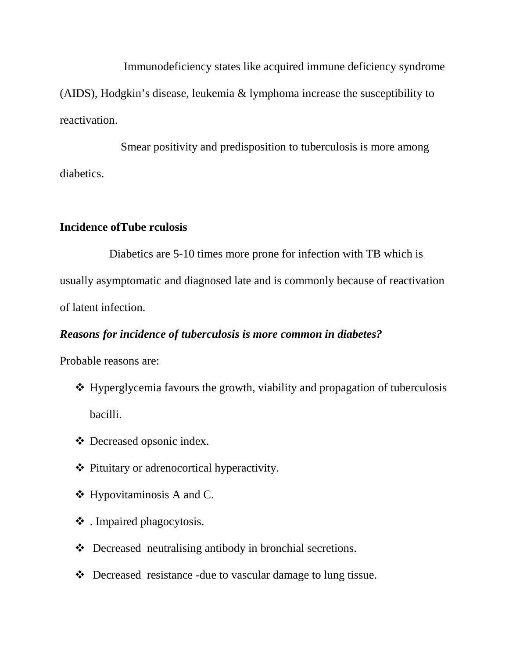Immunodeficiency states like acquired immune deficiency syndrome (AIDS), Hodgkin's disease, leukemia & lymphoma increase the susceptibility to reactivation.

Smear positivity and predisposition to tuberculosis is more among diabetics.

## **Incidence ofTube rculosis**

Diabetics are 5-10 times more prone for infection with TB which is usually asymptomatic and diagnosed late and is commonly because of reactivation of latent infection.

# *Reasons for incidence of tuberculosis is more common in diabetes?*

Probable reasons are:

- $\triangle$  Hyperglycemia favours the growth, viability and propagation of tuberculosis bacilli.
- Decreased opsonic index.
- Pituitary or adrenocortical hyperactivity.
- $\triangleleft$  Hypovitaminosis A and C.
- . Impaired phagocytosis.
- Decreased neutralising antibody in bronchial secretions.
- Decreased resistance -due to vascular damage to lung tissue.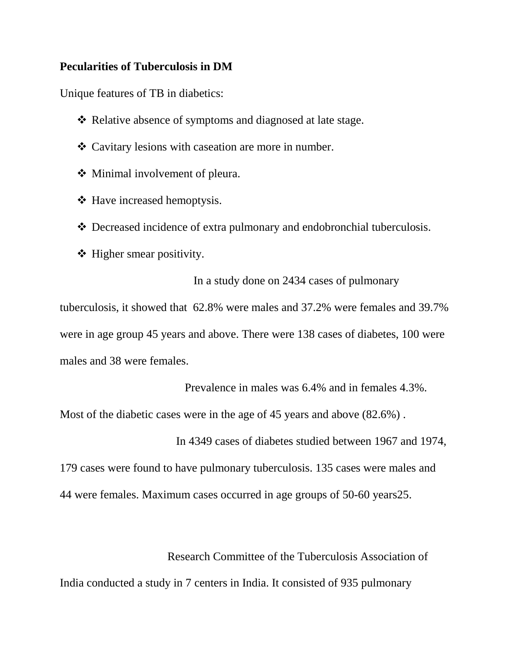#### **Pecularities of Tuberculosis in DM**

Unique features of TB in diabetics:

- \* Relative absence of symptoms and diagnosed at late stage.
- Cavitary lesions with caseation are more in number.
- ❖ Minimal involvement of pleura.
- ❖ Have increased hemoptysis.
- Decreased incidence of extra pulmonary and endobronchial tuberculosis.
- $\triangleleft$  Higher smear positivity.

In a study done on 2434 cases of pulmonary

tuberculosis, it showed that 62.8% were males and 37.2% were females and 39.7% were in age group 45 years and above. There were 138 cases of diabetes, 100 were males and 38 were females.

Prevalence in males was 6.4% and in females 4.3%.

Most of the diabetic cases were in the age of 45 years and above (82.6%) .

In 4349 cases of diabetes studied between 1967 and 1974,

179 cases were found to have pulmonary tuberculosis. 135 cases were males and 44 were females. Maximum cases occurred in age groups of 50-60 years25.

Research Committee of the Tuberculosis Association of India conducted a study in 7 centers in India. It consisted of 935 pulmonary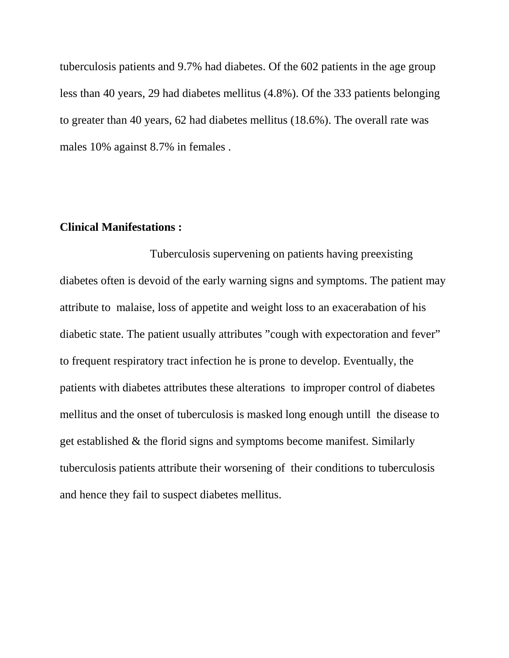tuberculosis patients and 9.7% had diabetes. Of the 602 patients in the age group less than 40 years, 29 had diabetes mellitus (4.8%). Of the 333 patients belonging to greater than 40 years, 62 had diabetes mellitus (18.6%). The overall rate was males 10% against 8.7% in females .

### **Clinical Manifestations :**

Tuberculosis supervening on patients having preexisting diabetes often is devoid of the early warning signs and symptoms. The patient may attribute to malaise, loss of appetite and weight loss to an exacerabation of his diabetic state. The patient usually attributes "cough with expectoration and fever" to frequent respiratory tract infection he is prone to develop. Eventually, the patients with diabetes attributes these alterations to improper control of diabetes mellitus and the onset of tuberculosis is masked long enough untill the disease to get established & the florid signs and symptoms become manifest. Similarly tuberculosis patients attribute their worsening of their conditions to tuberculosis and hence they fail to suspect diabetes mellitus.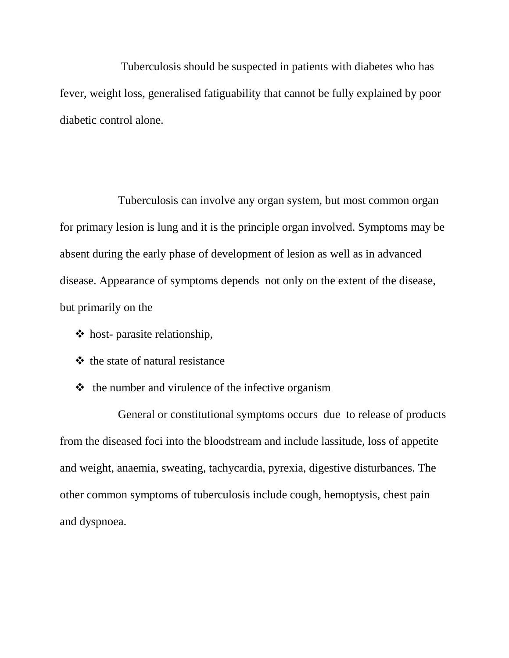Tuberculosis should be suspected in patients with diabetes who has fever, weight loss, generalised fatiguability that cannot be fully explained by poor diabetic control alone.

Tuberculosis can involve any organ system, but most common organ for primary lesion is lung and it is the principle organ involved. Symptoms may be absent during the early phase of development of lesion as well as in advanced disease. Appearance of symptoms depends not only on the extent of the disease, but primarily on the

- $\triangle$  host-parasite relationship,
- $\triangle$  the state of natural resistance
- $\triangle$  the number and virulence of the infective organism

General or constitutional symptoms occurs due to release of products from the diseased foci into the bloodstream and include lassitude, loss of appetite and weight, anaemia, sweating, tachycardia, pyrexia, digestive disturbances. The other common symptoms of tuberculosis include cough, hemoptysis, chest pain and dyspnoea.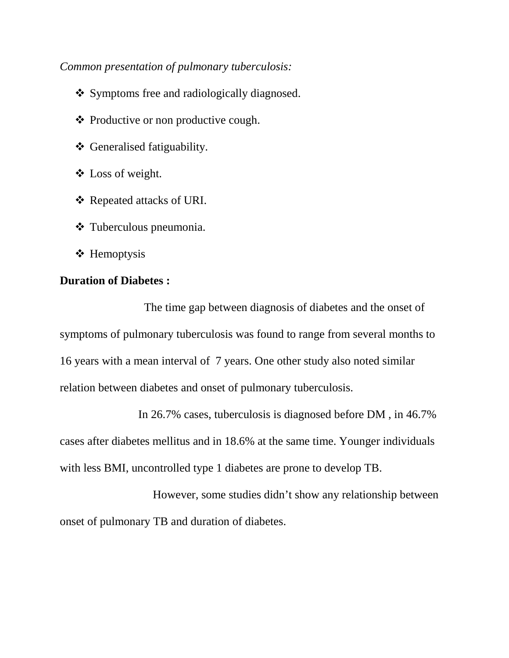*Common presentation of pulmonary tuberculosis:*

- Symptoms free and radiologically diagnosed.
- $\triangle$  Productive or non productive cough.
- Generalised fatiguability.
- Loss of weight.
- Repeated attacks of URI.
- Tuberculous pneumonia.
- **❖** Hemoptysis

# **Duration of Diabetes :**

The time gap between diagnosis of diabetes and the onset of symptoms of pulmonary tuberculosis was found to range from several months to 16 years with a mean interval of 7 years. One other study also noted similar relation between diabetes and onset of pulmonary tuberculosis.

In 26.7% cases, tuberculosis is diagnosed before DM , in 46.7% cases after diabetes mellitus and in 18.6% at the same time. Younger individuals with less BMI, uncontrolled type 1 diabetes are prone to develop TB.

However, some studies didn't show any relationship between onset of pulmonary TB and duration of diabetes.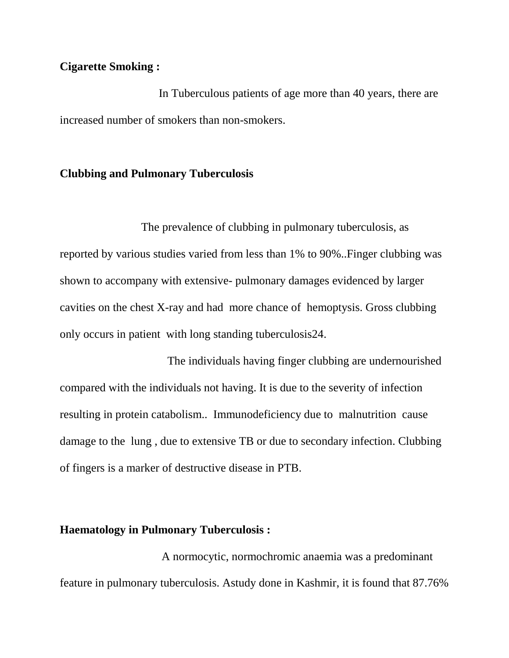# **Cigarette Smoking :**

In Tuberculous patients of age more than 40 years, there are increased number of smokers than non-smokers.

#### **Clubbing and Pulmonary Tuberculosis**

The prevalence of clubbing in pulmonary tuberculosis, as reported by various studies varied from less than 1% to 90%..Finger clubbing was shown to accompany with extensive- pulmonary damages evidenced by larger cavities on the chest X-ray and had more chance of hemoptysis. Gross clubbing only occurs in patient with long standing tuberculosis24.

The individuals having finger clubbing are undernourished compared with the individuals not having. It is due to the severity of infection resulting in protein catabolism.. Immunodeficiency due to malnutrition cause damage to the lung , due to extensive TB or due to secondary infection. Clubbing of fingers is a marker of destructive disease in PTB.

#### **Haematology in Pulmonary Tuberculosis :**

A normocytic, normochromic anaemia was a predominant feature in pulmonary tuberculosis. Astudy done in Kashmir, it is found that 87.76%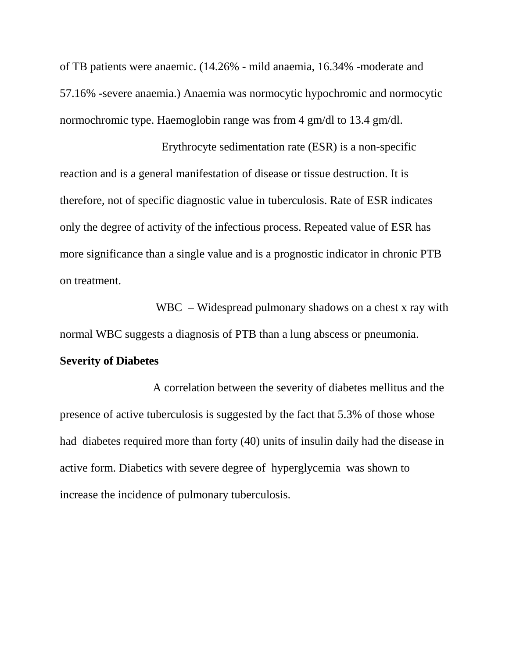of TB patients were anaemic. (14.26% - mild anaemia, 16.34% -moderate and 57.16% -severe anaemia.) Anaemia was normocytic hypochromic and normocytic normochromic type. Haemoglobin range was from 4 gm/dl to 13.4 gm/dl.

Erythrocyte sedimentation rate (ESR) is a non-specific reaction and is a general manifestation of disease or tissue destruction. It is therefore, not of specific diagnostic value in tuberculosis. Rate of ESR indicates only the degree of activity of the infectious process. Repeated value of ESR has more significance than a single value and is a prognostic indicator in chronic PTB on treatment.

WBC – Widespread pulmonary shadows on a chest x ray with normal WBC suggests a diagnosis of PTB than a lung abscess or pneumonia.

#### **Severity of Diabetes**

A correlation between the severity of diabetes mellitus and the presence of active tuberculosis is suggested by the fact that 5.3% of those whose had diabetes required more than forty (40) units of insulin daily had the disease in active form. Diabetics with severe degree of hyperglycemia was shown to increase the incidence of pulmonary tuberculosis.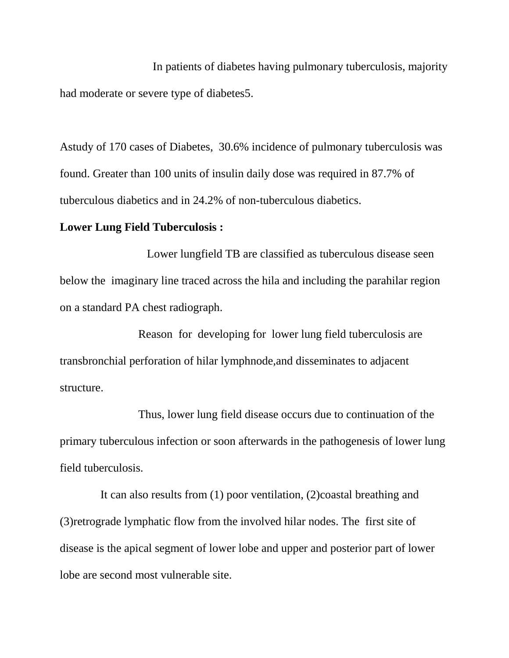In patients of diabetes having pulmonary tuberculosis, majority had moderate or severe type of diabetes5.

Astudy of 170 cases of Diabetes, 30.6% incidence of pulmonary tuberculosis was found. Greater than 100 units of insulin daily dose was required in 87.7% of tuberculous diabetics and in 24.2% of non-tuberculous diabetics.

## **Lower Lung Field Tuberculosis :**

Lower lungfield TB are classified as tuberculous disease seen below the imaginary line traced across the hila and including the parahilar region on a standard PA chest radiograph.

Reason for developing for lower lung field tuberculosis are transbronchial perforation of hilar lymphnode,and disseminates to adjacent structure.

Thus, lower lung field disease occurs due to continuation of the primary tuberculous infection or soon afterwards in the pathogenesis of lower lung field tuberculosis.

It can also results from (1) poor ventilation, (2)coastal breathing and (3)retrograde lymphatic flow from the involved hilar nodes. The first site of disease is the apical segment of lower lobe and upper and posterior part of lower lobe are second most vulnerable site.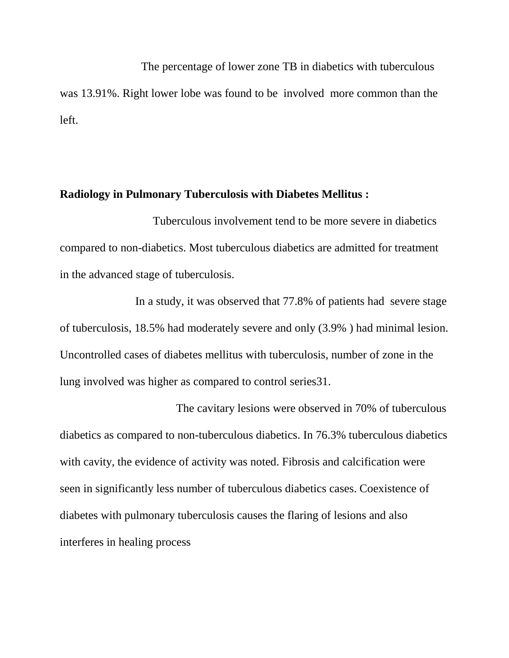The percentage of lower zone TB in diabetics with tuberculous was 13.91%. Right lower lobe was found to be involved more common than the left.

#### **Radiology in Pulmonary Tuberculosis with Diabetes Mellitus :**

Tuberculous involvement tend to be more severe in diabetics compared to non-diabetics. Most tuberculous diabetics are admitted for treatment in the advanced stage of tuberculosis.

In a study, it was observed that 77.8% of patients had severe stage of tuberculosis, 18.5% had moderately severe and only (3.9% ) had minimal lesion. Uncontrolled cases of diabetes mellitus with tuberculosis, number of zone in the lung involved was higher as compared to control series31.

The cavitary lesions were observed in 70% of tuberculous diabetics as compared to non-tuberculous diabetics. In 76.3% tuberculous diabetics with cavity, the evidence of activity was noted. Fibrosis and calcification were seen in significantly less number of tuberculous diabetics cases. Coexistence of diabetes with pulmonary tuberculosis causes the flaring of lesions and also interferes in healing process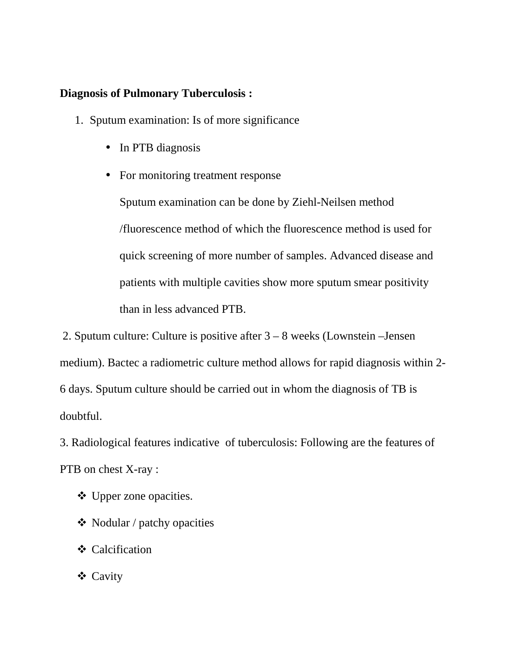## **Diagnosis of Pulmonary Tuberculosis :**

- 1. Sputum examination: Is of more significance
	- In PTB diagnosis
	- For monitoring treatment response

Sputum examination can be done by Ziehl-Neilsen method /fluorescence method of which the fluorescence method is used for quick screening of more number of samples. Advanced disease and patients with multiple cavities show more sputum smear positivity than in less advanced PTB.

2. Sputum culture: Culture is positive after 3 – 8 weeks (Lownstein –Jensen medium). Bactec a radiometric culture method allows for rapid diagnosis within 2- 6 days. Sputum culture should be carried out in whom the diagnosis of TB is doubtful.

3. Radiological features indicative of tuberculosis: Following are the features of PTB on chest X-ray :

- Upper zone opacities.
- $\triangleleft$  Nodular / patchy opacities
- Calcification
- Cavity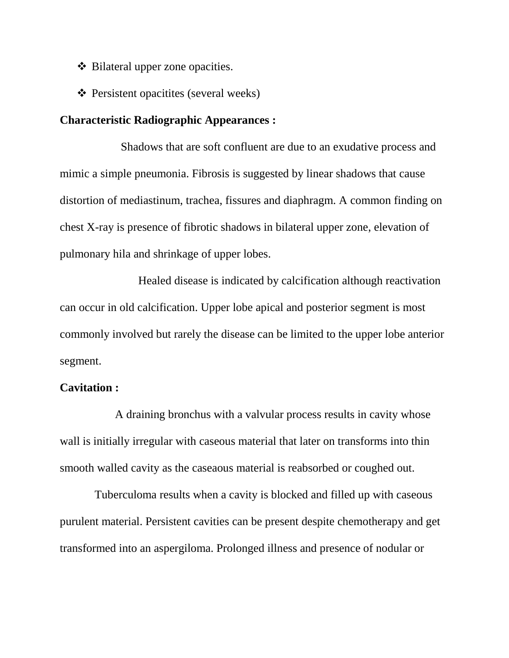- ❖ Bilateral upper zone opacities.
- **❖** Persistent opacitites (several weeks)

## **Characteristic Radiographic Appearances :**

Shadows that are soft confluent are due to an exudative process and mimic a simple pneumonia. Fibrosis is suggested by linear shadows that cause distortion of mediastinum, trachea, fissures and diaphragm. A common finding on chest X-ray is presence of fibrotic shadows in bilateral upper zone, elevation of pulmonary hila and shrinkage of upper lobes.

Healed disease is indicated by calcification although reactivation can occur in old calcification. Upper lobe apical and posterior segment is most commonly involved but rarely the disease can be limited to the upper lobe anterior segment.

#### **Cavitation :**

A draining bronchus with a valvular process results in cavity whose wall is initially irregular with caseous material that later on transforms into thin smooth walled cavity as the caseaous material is reabsorbed or coughed out.

Tuberculoma results when a cavity is blocked and filled up with caseous purulent material. Persistent cavities can be present despite chemotherapy and get transformed into an aspergiloma. Prolonged illness and presence of nodular or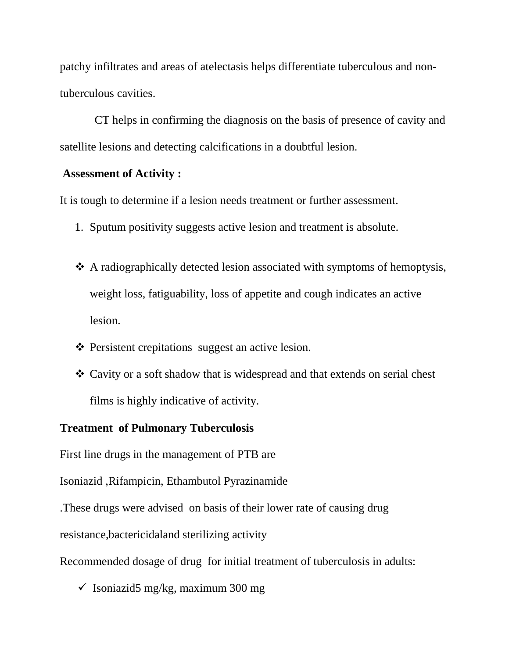patchy infiltrates and areas of atelectasis helps differentiate tuberculous and nontuberculous cavities.

CT helps in confirming the diagnosis on the basis of presence of cavity and satellite lesions and detecting calcifications in a doubtful lesion.

#### **Assessment of Activity :**

It is tough to determine if a lesion needs treatment or further assessment.

- 1. Sputum positivity suggests active lesion and treatment is absolute.
- A radiographically detected lesion associated with symptoms of hemoptysis, weight loss, fatiguability, loss of appetite and cough indicates an active lesion.
- $\triangle$  Persistent crepitations suggest an active lesion.
- Cavity or a soft shadow that is widespread and that extends on serial chest films is highly indicative of activity.

#### **Treatment of Pulmonary Tuberculosis**

First line drugs in the management of PTB are

Isoniazid ,Rifampicin, Ethambutol Pyrazinamide

.These drugs were advised on basis of their lower rate of causing drug

resistance,bactericidaland sterilizing activity

Recommended dosage of drug for initial treatment of tuberculosis in adults:

 $\checkmark$  Isoniazid5 mg/kg, maximum 300 mg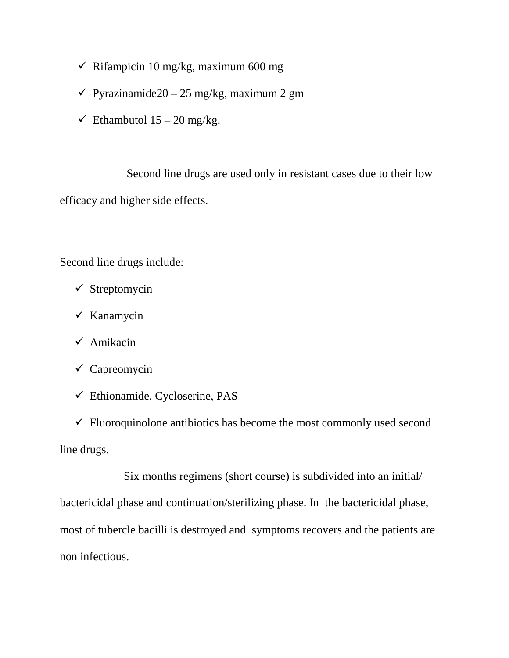- $\checkmark$  Rifampicin 10 mg/kg, maximum 600 mg
- $\checkmark$  Pyrazinamide20 25 mg/kg, maximum 2 gm
- $\checkmark$  Ethambutol 15 20 mg/kg.

Second line drugs are used only in resistant cases due to their low efficacy and higher side effects.

Second line drugs include:

- $\checkmark$  Streptomycin
- $\checkmark$  Kanamycin
- $\checkmark$  Amikacin
- $\checkmark$  Capreomycin
- $\checkmark$  Ethionamide, Cycloserine, PAS

 $\checkmark$  Fluoroquinolone antibiotics has become the most commonly used second line drugs.

Six months regimens (short course) is subdivided into an initial/ bactericidal phase and continuation/sterilizing phase. In the bactericidal phase, most of tubercle bacilli is destroyed and symptoms recovers and the patients are non infectious.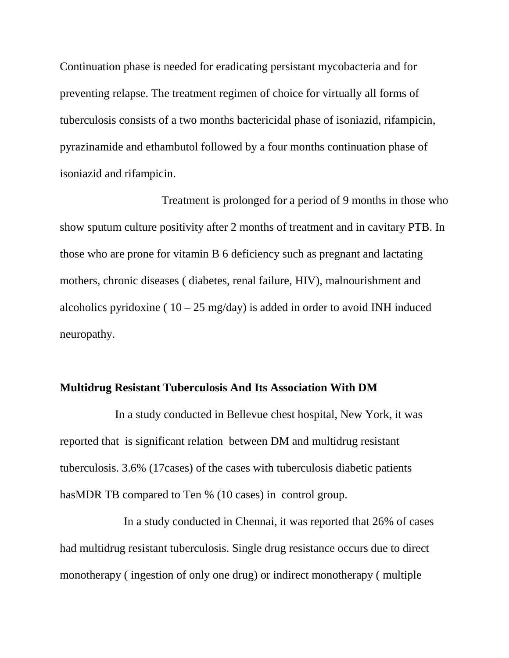Continuation phase is needed for eradicating persistant mycobacteria and for preventing relapse. The treatment regimen of choice for virtually all forms of tuberculosis consists of a two months bactericidal phase of isoniazid, rifampicin, pyrazinamide and ethambutol followed by a four months continuation phase of isoniazid and rifampicin.

Treatment is prolonged for a period of 9 months in those who show sputum culture positivity after 2 months of treatment and in cavitary PTB. In those who are prone for vitamin B 6 deficiency such as pregnant and lactating mothers, chronic diseases ( diabetes, renal failure, HIV), malnourishment and alcoholics pyridoxine ( $10 - 25$  mg/day) is added in order to avoid INH induced neuropathy.

#### **Multidrug Resistant Tuberculosis And Its Association With DM**

In a study conducted in Bellevue chest hospital, New York, it was reported that is significant relation between DM and multidrug resistant tuberculosis. 3.6% (17cases) of the cases with tuberculosis diabetic patients hasMDR TB compared to Ten % (10 cases) in control group.

In a study conducted in Chennai, it was reported that 26% of cases had multidrug resistant tuberculosis. Single drug resistance occurs due to direct monotherapy ( ingestion of only one drug) or indirect monotherapy ( multiple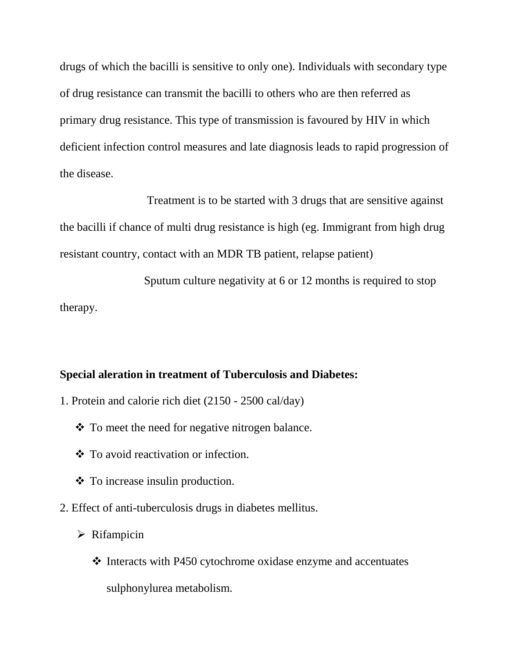drugs of which the bacilli is sensitive to only one). Individuals with secondary type of drug resistance can transmit the bacilli to others who are then referred as primary drug resistance. This type of transmission is favoured by HIV in which deficient infection control measures and late diagnosis leads to rapid progression of the disease.

Treatment is to be started with 3 drugs that are sensitive against the bacilli if chance of multi drug resistance is high (eg. Immigrant from high drug resistant country, contact with an MDR TB patient, relapse patient)

Sputum culture negativity at 6 or 12 months is required to stop therapy.

#### **Special aleration in treatment of Tuberculosis and Diabetes:**

- 1. Protein and calorie rich diet (2150 2500 cal/day)
	- To meet the need for negative nitrogen balance.
	- To avoid reactivation or infection.
	- $\triangleleft$  To increase insulin production.
- 2. Effect of anti-tuberculosis drugs in diabetes mellitus.
	- $\triangleright$  Rifampicin
		- $\cdot$  Interacts with P450 cytochrome oxidase enzyme and accentuates sulphonylurea metabolism.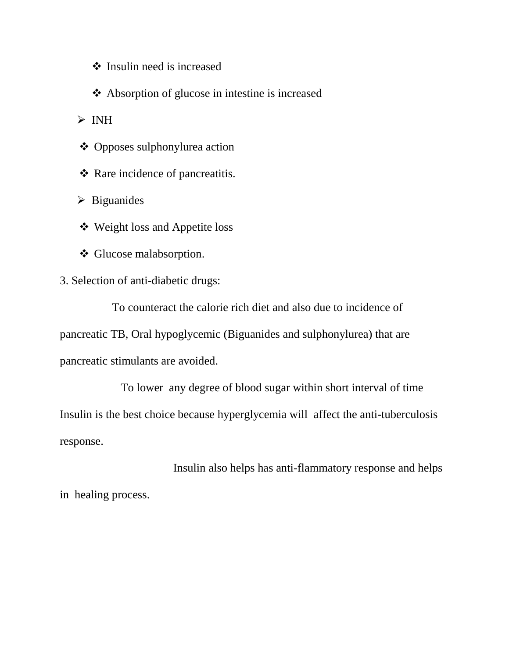- $\triangleleft$  Insulin need is increased
- Absorption of glucose in intestine is increased

 $\triangleright$  INH

- Opposes sulphonylurea action
- Rare incidence of pancreatitis.
- $\triangleright$  Biguanides
- Weight loss and Appetite loss
- Glucose malabsorption.
- 3. Selection of anti-diabetic drugs:

To counteract the calorie rich diet and also due to incidence of pancreatic TB, Oral hypoglycemic (Biguanides and sulphonylurea) that are pancreatic stimulants are avoided.

To lower any degree of blood sugar within short interval of time Insulin is the best choice because hyperglycemia will affect the anti-tuberculosis response.

Insulin also helps has anti-flammatory response and helps in healing process.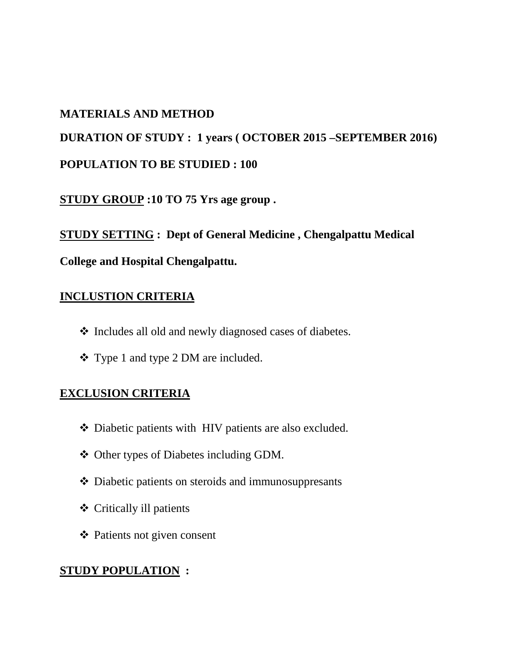### **MATERIALS AND METHOD**

# **DURATION OF STUDY : 1 years ( OCTOBER 2015 –SEPTEMBER 2016) POPULATION TO BE STUDIED : 100**

**STUDY GROUP :10 TO 75 Yrs age group .**

**STUDY SETTING : Dept of General Medicine , Chengalpattu Medical**

# **College and Hospital Chengalpattu.**

# **INCLUSTION CRITERIA**

- Includes all old and newly diagnosed cases of diabetes.
- Type 1 and type 2 DM are included.

### **EXCLUSION CRITERIA**

- Diabetic patients with HIV patients are also excluded.
- Other types of Diabetes including GDM.
- Diabetic patients on steroids and immunosuppresants
- Critically ill patients
- Patients not given consent

# **STUDY POPULATION :**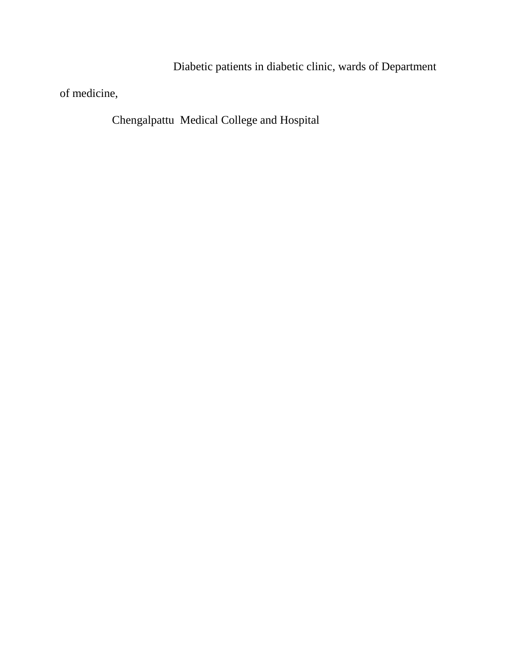Diabetic patients in diabetic clinic, wards of Department

of medicine,

Chengalpattu Medical College and Hospital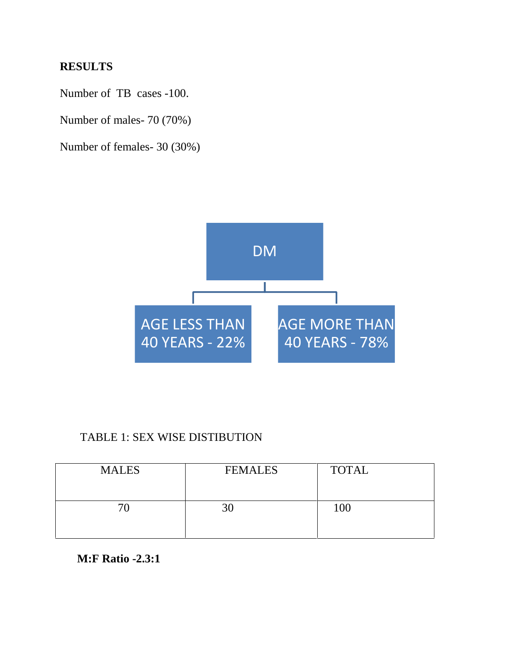### **RESULTS**

Number of TB cases -100.

Number of males- 70 (70%)

Number of females- 30 (30%)



#### TABLE 1: SEX WISE DISTIBUTION

| <b>MALES</b> | <b>FEMALES</b> | <b>TOTAL</b> |
|--------------|----------------|--------------|
|              | 30             | 100          |

#### **M:F Ratio -2.3:1**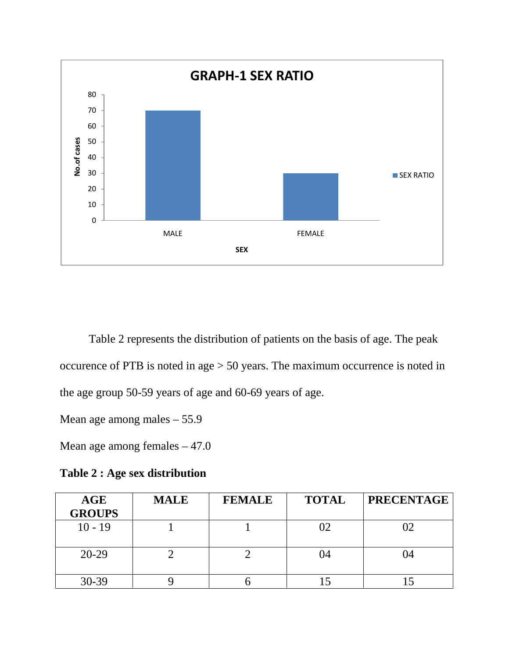

Table 2 represents the distribution of patients on the basis of age. The peak occurence of PTB is noted in age > 50 years. The maximum occurrence is noted in the age group 50-59 years of age and 60-69 years of age.

Mean age among males – 55.9

Mean age among females – 47.0

**Table 2 : Age sex distribution**

| AGE<br><b>GROUPS</b> | <b>MALE</b> | <b>FEMALE</b> | <b>TOTAL</b> | <b>PRECENTAGE</b> |
|----------------------|-------------|---------------|--------------|-------------------|
| $10 - 19$            |             |               |              |                   |
| $20-29$              |             |               | O4           | 04                |
| 30-39                |             |               |              |                   |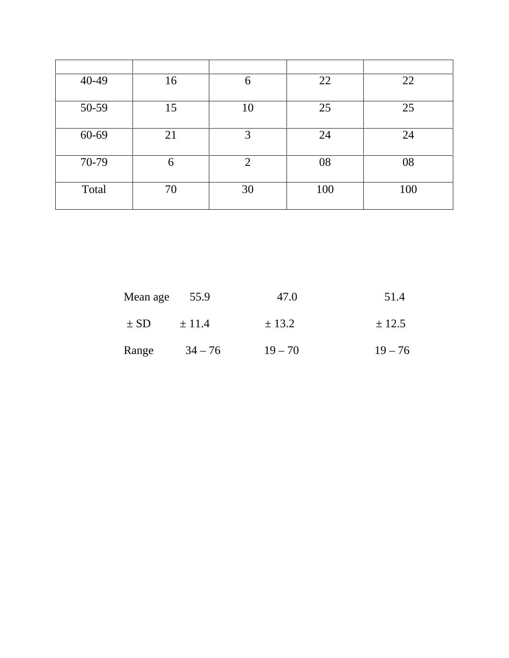| 40-49 | 16 | 6              | 22  | 22  |
|-------|----|----------------|-----|-----|
|       |    |                |     |     |
| 50-59 | 15 | 10             | 25  | 25  |
|       |    |                |     |     |
| 60-69 | 21 | 3              | 24  | 24  |
|       |    |                |     |     |
| 70-79 | 6  | $\overline{2}$ | 08  | 08  |
|       |    |                |     |     |
| Total | 70 | 30             | 100 | 100 |
|       |    |                |     |     |

| Mean age | 55.9       | 47.0       | 51.4      |
|----------|------------|------------|-----------|
| $\pm$ SD | $\pm$ 11.4 | $\pm$ 13.2 | ± 12.5    |
| Range    | $34 - 76$  | $19 - 70$  | $19 - 76$ |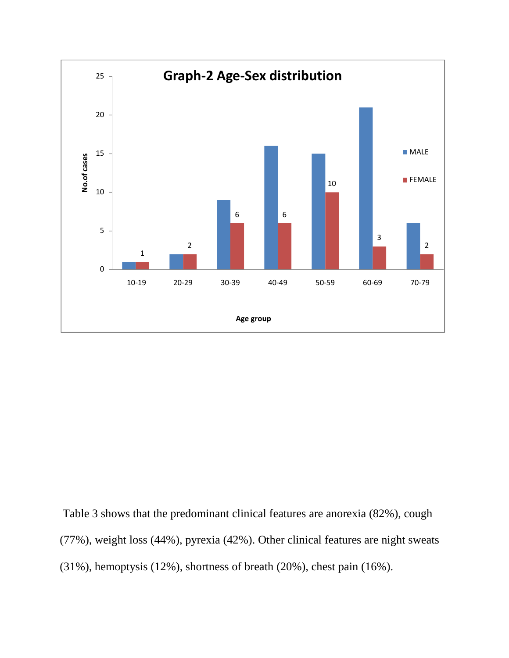

Table 3 shows that the predominant clinical features are anorexia (82%), cough (77%), weight loss (44%), pyrexia (42%). Other clinical features are night sweats (31%), hemoptysis (12%), shortness of breath (20%), chest pain (16%).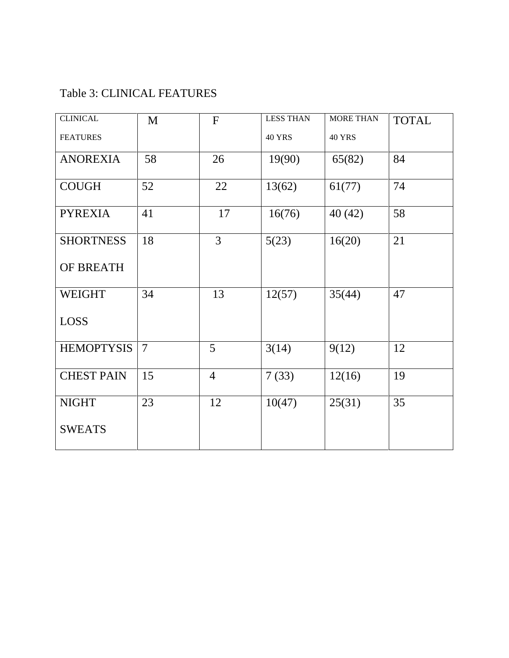# Table 3: CLINICAL FEATURES

| <b>CLINICAL</b>   | M              | ${\bf F}$      | <b>LESS THAN</b> | <b>MORE THAN</b> | <b>TOTAL</b> |
|-------------------|----------------|----------------|------------------|------------------|--------------|
| <b>FEATURES</b>   |                |                | <b>40 YRS</b>    | <b>40 YRS</b>    |              |
| <b>ANOREXIA</b>   | 58             | 26             | 19(90)           | 65(82)           | 84           |
| <b>COUGH</b>      | 52             | 22             | 13(62)           | 61(77)           | 74           |
| <b>PYREXIA</b>    | 41             | 17             | 16(76)           | 40(42)           | 58           |
| <b>SHORTNESS</b>  | 18             | $\overline{3}$ | 5(23)            | 16(20)           | 21           |
| OF BREATH         |                |                |                  |                  |              |
| <b>WEIGHT</b>     | 34             | 13             | 12(57)           | 35(44)           | 47           |
| <b>LOSS</b>       |                |                |                  |                  |              |
| <b>HEMOPTYSIS</b> | $\overline{7}$ | 5              | 3(14)            | 9(12)            | 12           |
| <b>CHEST PAIN</b> | 15             | $\overline{4}$ | 7(33)            | 12(16)           | 19           |
| <b>NIGHT</b>      | 23             | 12             | 10(47)           | 25(31)           | 35           |
| <b>SWEATS</b>     |                |                |                  |                  |              |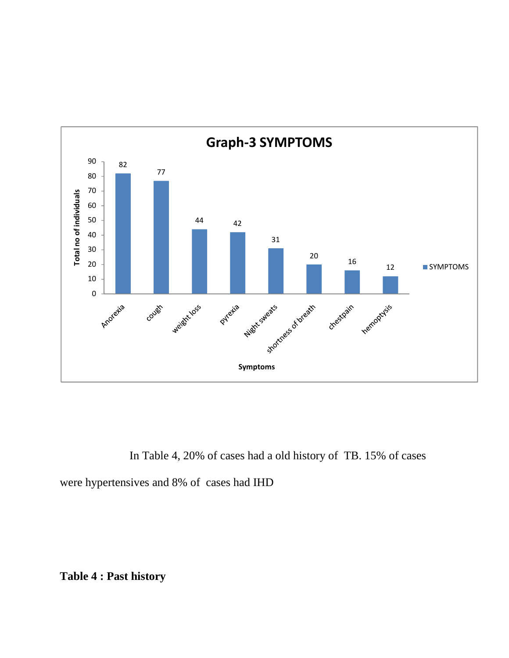

In Table 4, 20% of cases had a old history of TB. 15% of cases were hypertensives and 8% of cases had IHD

**Table 4 : Past history**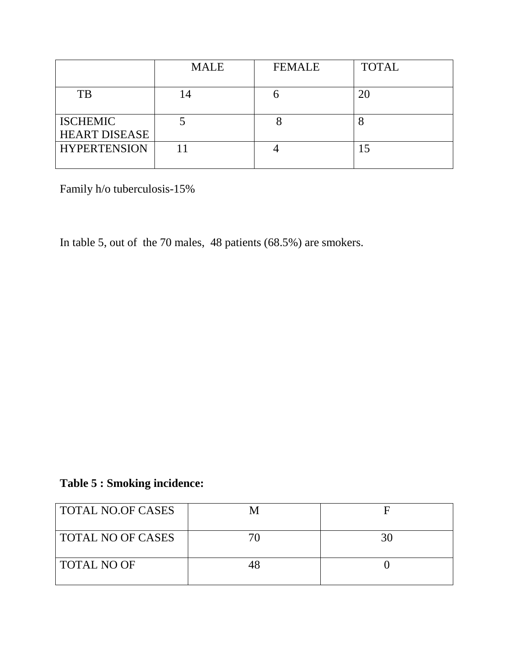|                                         | <b>MALE</b> | <b>FEMALE</b> | <b>TOTAL</b> |
|-----------------------------------------|-------------|---------------|--------------|
| TB                                      | 14          |               | 20           |
| <b>ISCHEMIC</b><br><b>HEART DISEASE</b> |             |               |              |
| <b>HYPERTENSION</b>                     |             |               | 15           |

Family h/o tuberculosis-15%

In table 5, out of the 70 males, 48 patients (68.5%) are smokers.

# **Table 5 : Smoking incidence:**

| TOTAL NO.OF CASES        |    |
|--------------------------|----|
| <b>TOTAL NO OF CASES</b> | 30 |
| <b>TOTAL NO OF</b>       |    |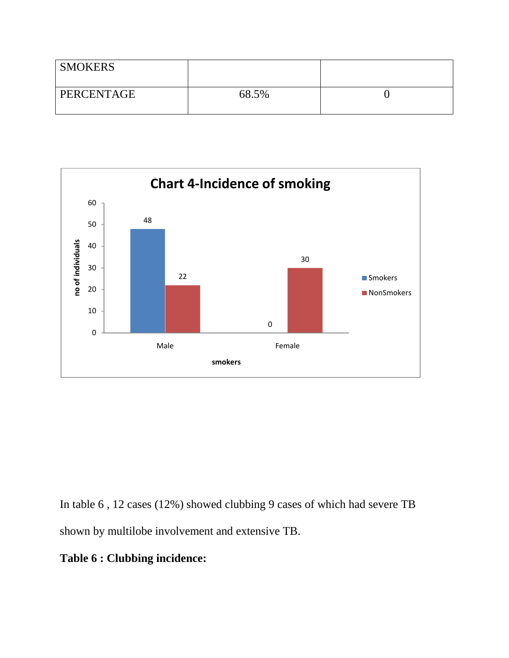| <b>SMOKERS</b> |       |  |
|----------------|-------|--|
| PERCENTAGE     | 68.5% |  |



In table 6 , 12 cases (12%) showed clubbing 9 cases of which had severe TB shown by multilobe involvement and extensive TB.

**Table 6 : Clubbing incidence:**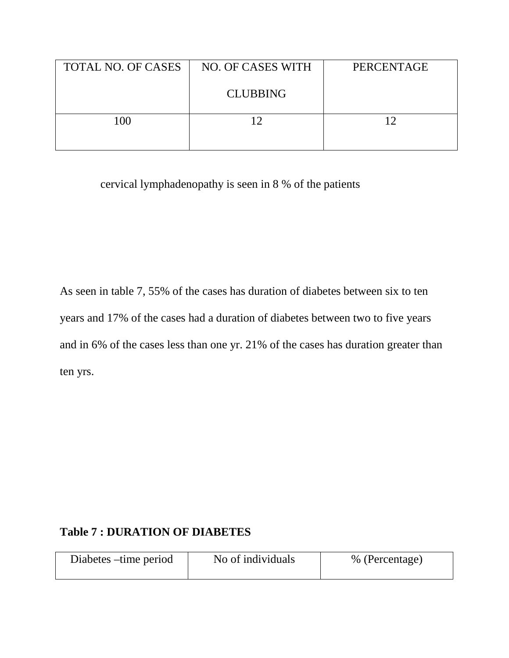| TOTAL NO. OF CASES | NO. OF CASES WITH | PERCENTAGE |
|--------------------|-------------------|------------|
|                    | <b>CLUBBING</b>   |            |
| 100                |                   |            |

cervical lymphadenopathy is seen in 8 % of the patients

As seen in table 7, 55% of the cases has duration of diabetes between six to ten years and 17% of the cases had a duration of diabetes between two to five years and in 6% of the cases less than one yr. 21% of the cases has duration greater than ten yrs.

# **Table 7 : DURATION OF DIABETES**

| Diabetes – time period | No of individuals | % (Percentage) |
|------------------------|-------------------|----------------|
|                        |                   |                |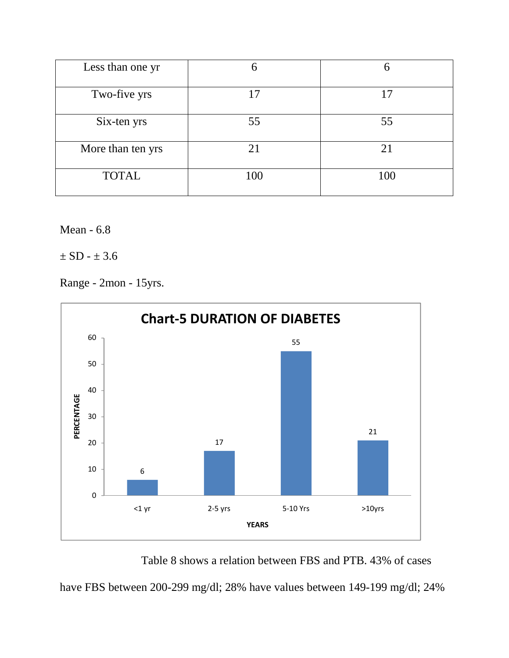| Less than one yr  |           |     |
|-------------------|-----------|-----|
| Two-five yrs      | $\cdot$ 7 | 17  |
| Six-ten yrs       | 55        | 55  |
| More than ten yrs | 21        | 21  |
| <b>TOTAL</b>      | 100       | 100 |

Mean - 6.8

 $\pm$  SD -  $\pm$  3.6

Range - 2mon - 15yrs.



Table 8 shows a relation between FBS and PTB. 43% of cases

have FBS between 200-299 mg/dl; 28% have values between 149-199 mg/dl; 24%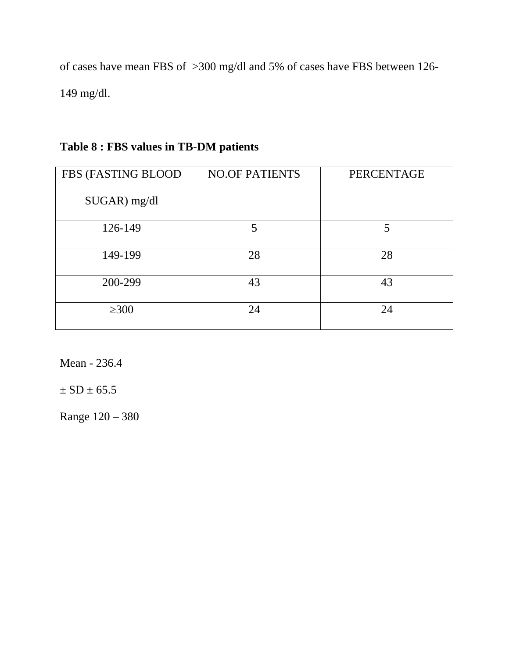of cases have mean FBS of >300 mg/dl and 5% of cases have FBS between 126- 149 mg/dl.

| FBS (FASTING BLOOD | <b>NO.OF PATIENTS</b> | PERCENTAGE |
|--------------------|-----------------------|------------|
| $SUGAR$ ) mg/dl    |                       |            |
| 126-149            | 5                     | 5          |
| 149-199            | 28                    | 28         |
| 200-299            | 43                    | 43         |
| 300                | 24                    | 24         |

# **Table 8 : FBS values in TB-DM patients**

Mean - 236.4

 $\pm$  SD  $\pm$  65.5

Range 120 – 380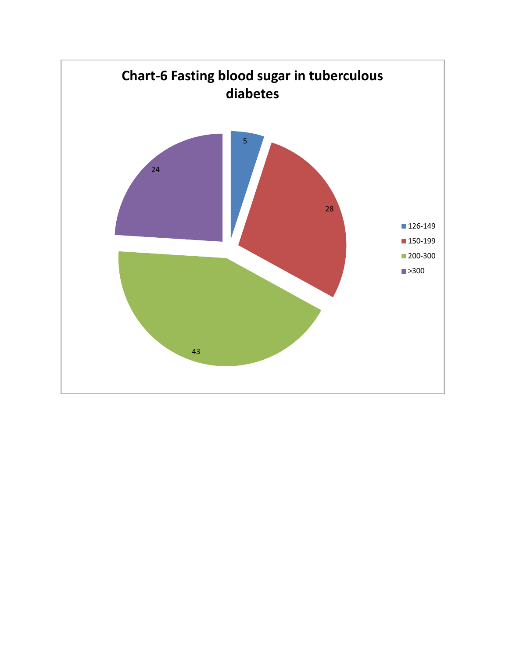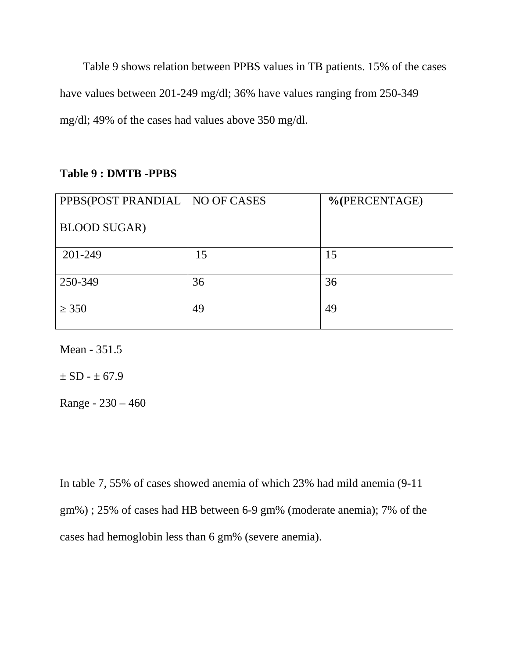Table 9 shows relation between PPBS values in TB patients. 15% of the cases have values between 201-249 mg/dl; 36% have values ranging from 250-349 mg/dl; 49% of the cases had values above 350 mg/dl.

#### **Table 9 : DMTB -PPBS**

| PPBS(POST PRANDIAL   NO OF CASES |    | %(PERCENTAGE) |
|----------------------------------|----|---------------|
| <b>BLOOD SUGAR)</b>              |    |               |
| 201-249                          | 15 | 15            |
| 250-349                          | 36 | 36            |
| 350                              | 49 | 49            |

Mean - 351.5

 $\pm$  SD -  $\pm$  67.9

Range - 230 – 460

In table 7, 55% of cases showed anemia of which 23% had mild anemia (9-11 gm%) ; 25% of cases had HB between 6-9 gm% (moderate anemia); 7% of the cases had hemoglobin less than 6 gm% (severe anemia).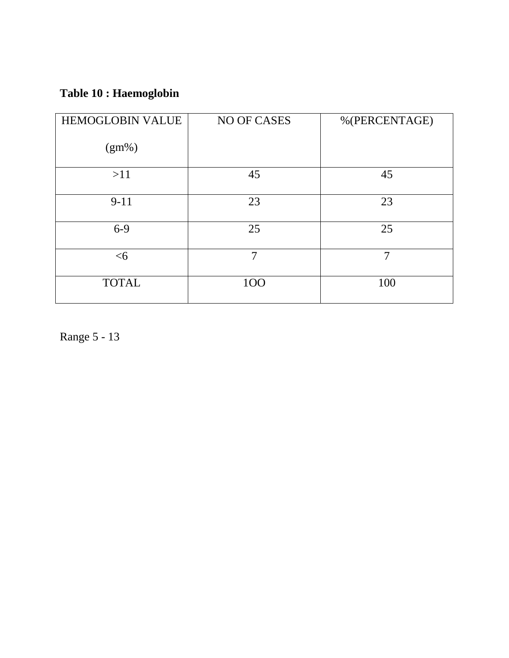# **Table 10 : Haemoglobin**

| <b>HEMOGLOBIN VALUE</b> | NO OF CASES | %(PERCENTAGE) |
|-------------------------|-------------|---------------|
| $(gm\%)$                |             |               |
| >11                     | 45          | 45            |
| $9 - 11$                | 23          | 23            |
| $6-9$                   | 25          | 25            |
| <6                      | 7           | 7             |
| <b>TOTAL</b>            | 100         | 100           |

Range 5 - 13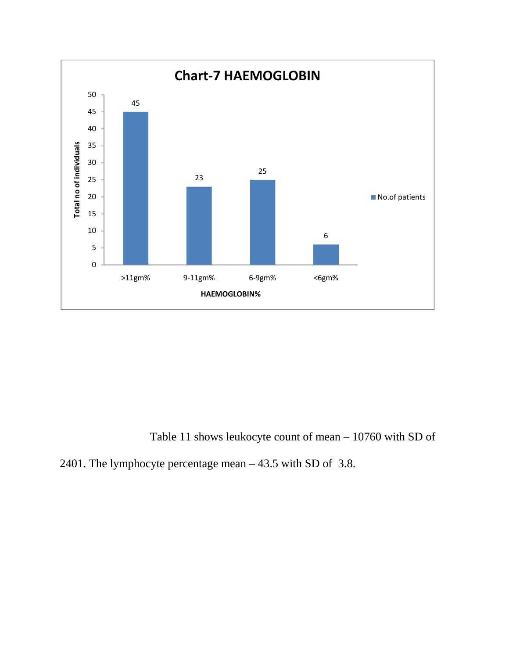

Table 11 shows leukocyte count of mean – 10760 with SD of

2401. The lymphocyte percentage mean – 43.5 with SD of 3.8.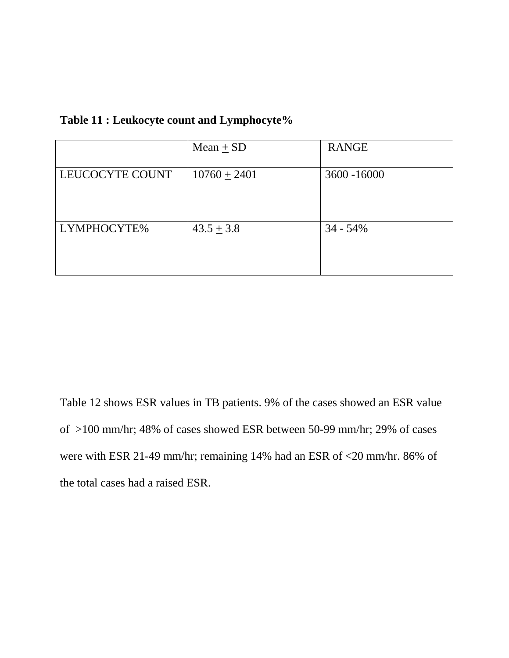|                 | $Mean + SD$    | <b>RANGE</b> |
|-----------------|----------------|--------------|
| LEUCOCYTE COUNT | $10760 + 2401$ | 3600 - 16000 |
| LYMPHOCYTE%     | $43.5 \pm 3.8$ | $34 - 54\%$  |

#### **Table 11 : Leukocyte count and Lymphocyte%**

Table 12 shows ESR values in TB patients. 9% of the cases showed an ESR value of >100 mm/hr; 48% of cases showed ESR between 50-99 mm/hr; 29% of cases were with ESR 21-49 mm/hr; remaining 14% had an ESR of <20 mm/hr. 86% of the total cases had a raised ESR.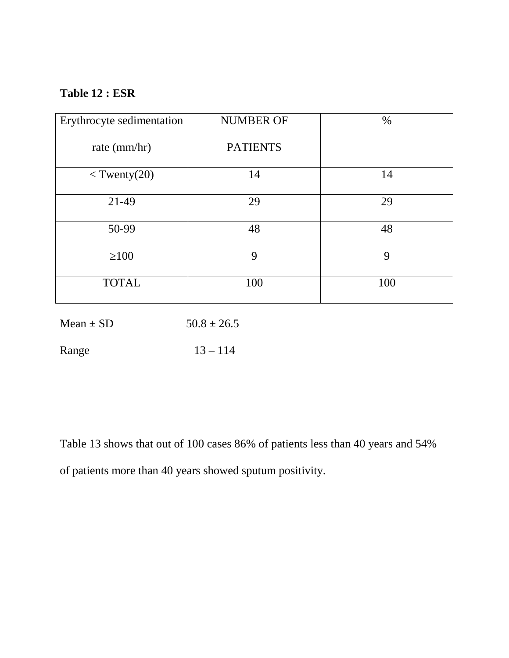### **Table 12 : ESR**

| Erythrocyte sedimentation | <b>NUMBER OF</b> | $\%$        |
|---------------------------|------------------|-------------|
| rate (mm/hr)              | <b>PATIENTS</b>  |             |
| $<$ Twenty(20)            | 14               | 14          |
| 21-49                     | 29               | 29          |
| 50-99                     | 48               | 48          |
| 100                       | 9                | $\mathbf Q$ |
| <b>TOTAL</b>              | 100              | 100         |

Mean  $\pm$  SD 50.8  $\pm$  26.5

Range 13 – 114

Table 13 shows that out of 100 cases 86% of patients less than 40 years and 54% of patients more than 40 years showed sputum positivity.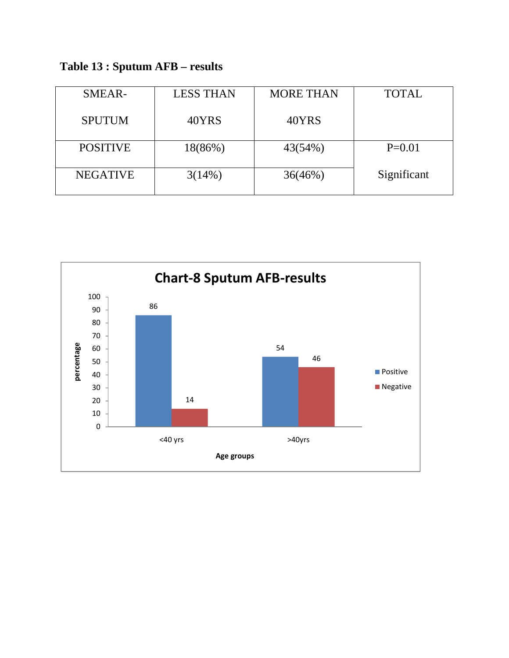**Table 13 : Sputum AFB – results**

| SMEAR-          | <b>LESS THAN</b> | <b>MORE THAN</b> | <b>TOTAL</b> |
|-----------------|------------------|------------------|--------------|
| <b>SPUTUM</b>   | 40YRS            | 40YRS            |              |
| <b>POSITIVE</b> | $18(86\%)$       | 43(54%)          | $P=0.01$     |
| <b>NEGATIVE</b> | 3(14%)           | 36(46%)          | Significant  |
|                 |                  |                  |              |

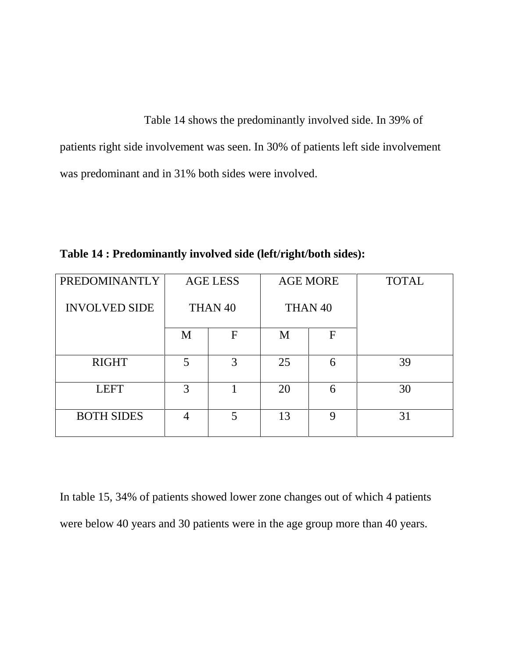Table 14 shows the predominantly involved side. In 39% of patients right side involvement was seen. In 30% of patients left side involvement was predominant and in 31% both sides were involved.

**Table 14 : Predominantly involved side (left/right/both sides):**

| PREDOMINANTLY        |   | <b>AGE LESS</b>    |    | <b>AGE MORE</b>    | <b>TOTAL</b> |
|----------------------|---|--------------------|----|--------------------|--------------|
| <b>INVOLVED SIDE</b> |   | THAN <sub>40</sub> |    | THAN <sub>40</sub> |              |
|                      | M | F                  | M  | $\mathbf F$        |              |
| <b>RIGHT</b>         | 5 | 3                  | 25 | 6                  | 39           |
| <b>LEFT</b>          | 3 |                    | 20 | 6                  | 30           |
| <b>BOTH SIDES</b>    | 4 | 5                  | 13 | Q                  | 31           |

In table 15, 34% of patients showed lower zone changes out of which 4 patients were below 40 years and 30 patients were in the age group more than 40 years.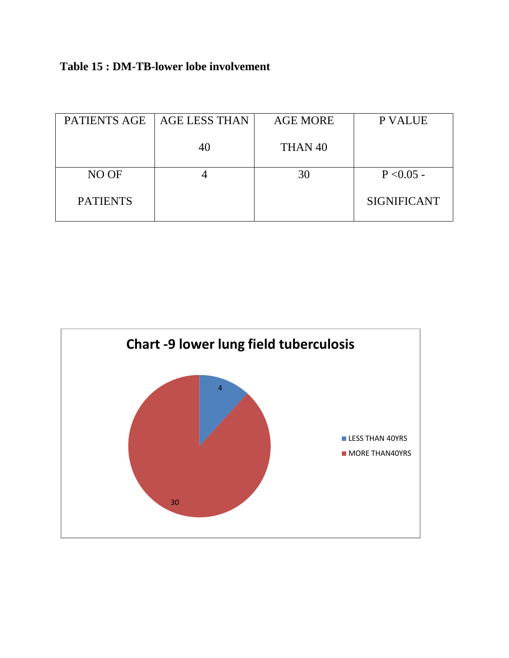**Table 15 : DM-TB-lower lobe involvement**

| <b>AGE LESS THAN</b> | <b>AGE MORE</b>    | P VALUE            |  |
|----------------------|--------------------|--------------------|--|
| 40                   | THAN <sub>40</sub> |                    |  |
|                      | 30                 | $P < 0.05 -$       |  |
|                      |                    | <b>SIGNIFICANT</b> |  |
|                      |                    |                    |  |

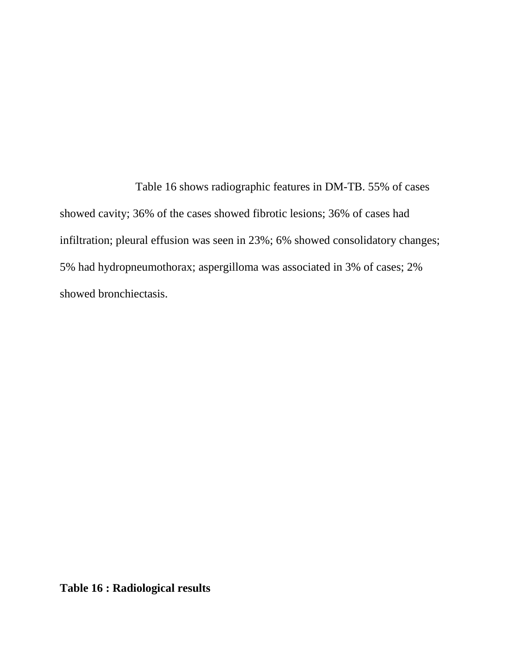Table 16 shows radiographic features in DM-TB. 55% of cases showed cavity; 36% of the cases showed fibrotic lesions; 36% of cases had infiltration; pleural effusion was seen in 23%; 6% showed consolidatory changes; 5% had hydropneumothorax; aspergilloma was associated in 3% of cases; 2% showed bronchiectasis.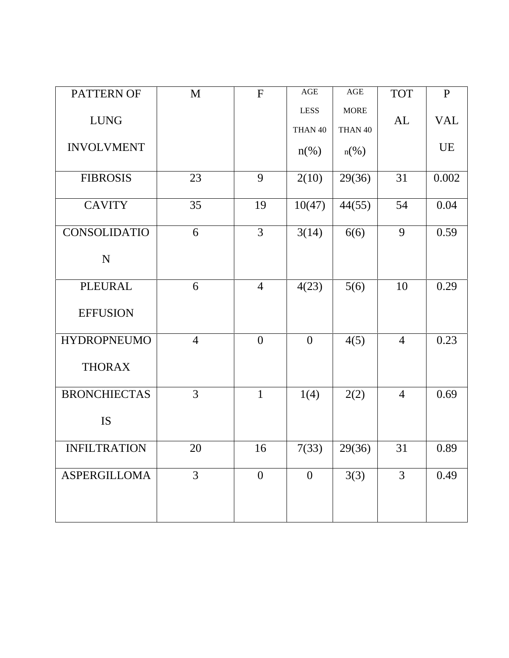| PATTERN OF          | M              | F              | $\mathbf{AGE}$         | $\mathbf{AGE}$         | <b>TOT</b>     | $\mathbf{P}$ |
|---------------------|----------------|----------------|------------------------|------------------------|----------------|--------------|
| <b>LUNG</b>         |                |                | <b>LESS</b><br>THAN 40 | <b>MORE</b><br>THAN 40 | AL             | <b>VAL</b>   |
| <b>INVOLVMENT</b>   |                |                | $n(\%)$                | $n(\%)$                |                | UE           |
| <b>FIBROSIS</b>     | 23             | 9              | 2(10)                  | 29(36)                 | 31             | 0.002        |
| <b>CAVITY</b>       | 35             | 19             | 10(47)                 | 44(55)                 | 54             | 0.04         |
| CONSOLIDATIO        | 6              | $\overline{3}$ | 3(14)                  | 6(6)                   | 9              | 0.59         |
| ${\bf N}$           |                |                |                        |                        |                |              |
| PLEURAL             | 6              | $\overline{4}$ | 4(23)                  | 5(6)                   | 10             | 0.29         |
| <b>EFFUSION</b>     |                |                |                        |                        |                |              |
| <b>HYDROPNEUMO</b>  | $\overline{4}$ | $\mathbf{0}$   | $\mathbf{0}$           | 4(5)                   | $\overline{4}$ | 0.23         |
| <b>THORAX</b>       |                |                |                        |                        |                |              |
| <b>BRONCHIECTAS</b> | $\overline{3}$ | $\mathbf{1}$   | 1(4)                   | 2(2)                   | $\overline{4}$ | 0.69         |
| IS                  |                |                |                        |                        |                |              |
| <b>INFILTRATION</b> | 20             | 16             | 7(33)                  | 29(36)                 | 31             | 0.89         |
| <b>ASPERGILLOMA</b> | $\overline{3}$ | $\theta$       | $\boldsymbol{0}$       | 3(3)                   | $\overline{3}$ | 0.49         |
|                     |                |                |                        |                        |                |              |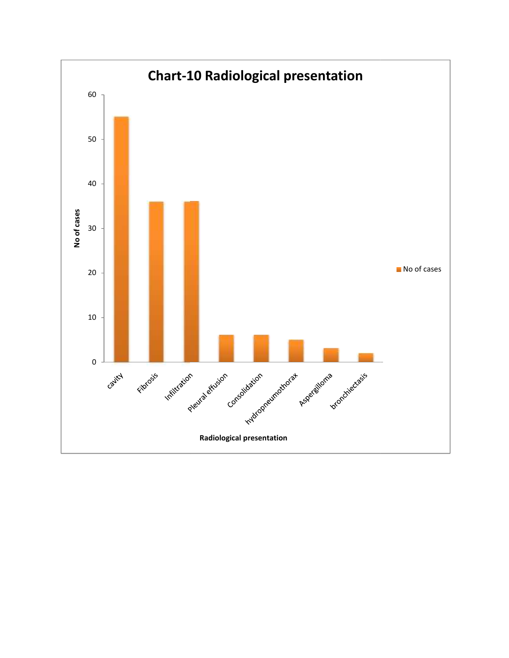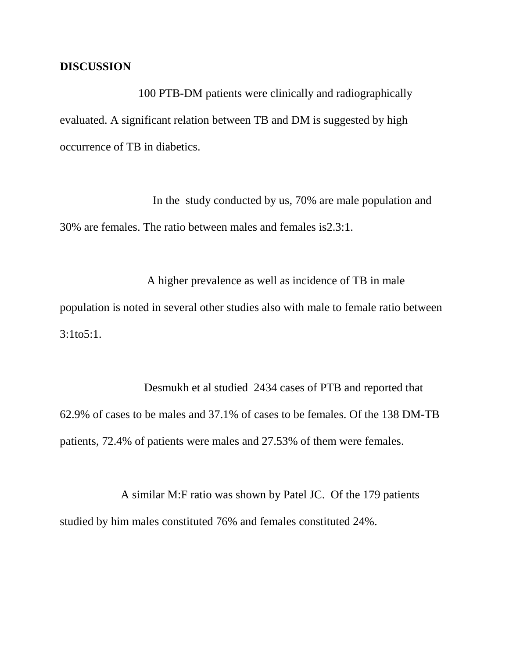#### **DISCUSSION**

100 PTB-DM patients were clinically and radiographically evaluated. A significant relation between TB and DM is suggested by high occurrence of TB in diabetics.

In the study conducted by us, 70% are male population and 30% are females. The ratio between males and females is2.3:1.

A higher prevalence as well as incidence of TB in male population is noted in several other studies also with male to female ratio between 3:1to5:1.

Desmukh et al studied 2434 cases of PTB and reported that 62.9% of cases to be males and 37.1% of cases to be females. Of the 138 DM-TB patients, 72.4% of patients were males and 27.53% of them were females.

A similar M:F ratio was shown by Patel JC. Of the 179 patients studied by him males constituted 76% and females constituted 24%.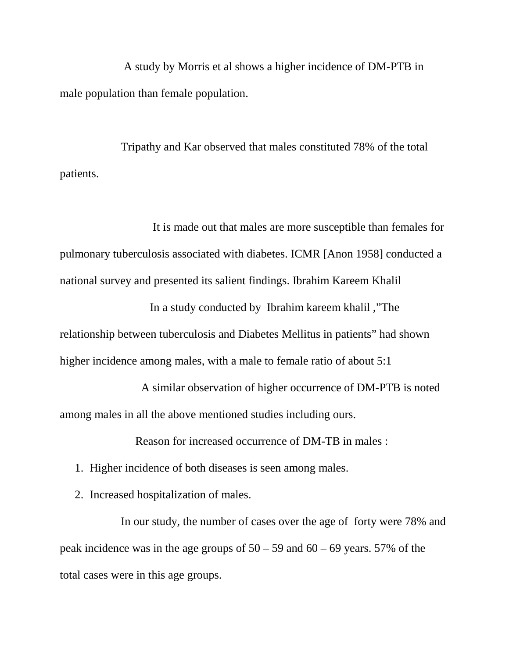A study by Morris et al shows a higher incidence of DM-PTB in male population than female population.

Tripathy and Kar observed that males constituted 78% of the total patients.

It is made out that males are more susceptible than females for pulmonary tuberculosis associated with diabetes. ICMR [Anon 1958] conducted a national survey and presented its salient findings. Ibrahim Kareem Khalil

In a study conducted by Ibrahim kareem khalil ,"The relationship between tuberculosis and Diabetes Mellitus in patients" had shown higher incidence among males, with a male to female ratio of about 5:1

A similar observation of higher occurrence of DM-PTB is noted among males in all the above mentioned studies including ours.

Reason for increased occurrence of DM-TB in males :

- 1. Higher incidence of both diseases is seen among males.
- 2. Increased hospitalization of males.

In our study, the number of cases over the age of forty were 78% and peak incidence was in the age groups of  $50 - 59$  and  $60 - 69$  years. 57% of the total cases were in this age groups.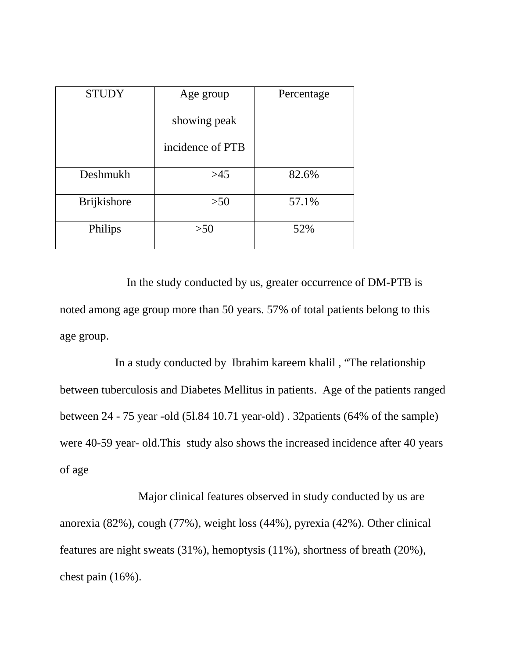| <b>STUDY</b> | Age group        | Percentage |  |
|--------------|------------------|------------|--|
|              | showing peak     |            |  |
|              | incidence of PTB |            |  |
| Deshmukh     | >45              | 82.6%      |  |
| Brijkishore  | >50              | 57.1%      |  |
| Philips      | >50              | 52%        |  |

In the study conducted by us, greater occurrence of DM-PTB is noted among age group more than 50 years. 57% of total patients belong to this age group.

In a study conducted by Ibrahim kareem khalil , "The relationship between tuberculosis and Diabetes Mellitus in patients. Age of the patients ranged between 24 - 75 year -old (5l.84 10.71 year-old) . 32patients (64% of the sample) were 40-59 year- old.This study also shows the increased incidence after 40 years of age

Major clinical features observed in study conducted by us are anorexia (82%), cough (77%), weight loss (44%), pyrexia (42%). Other clinical features are night sweats (31%), hemoptysis (11%), shortness of breath (20%), chest pain (16%).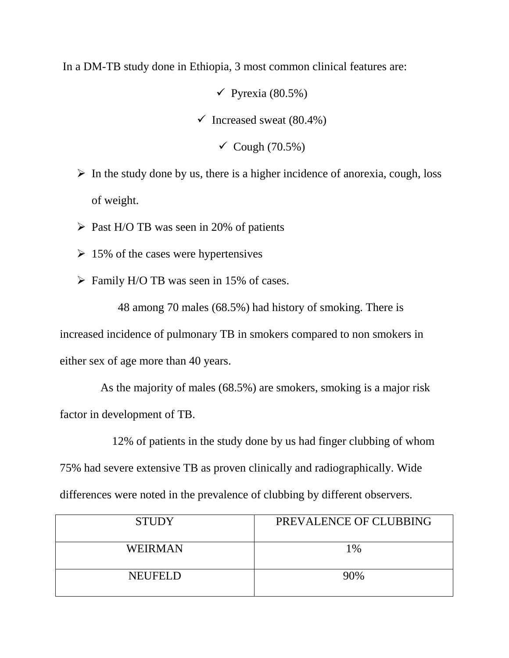In a DM-TB study done in Ethiopia, 3 most common clinical features are:

 $\checkmark$  Pyrexia (80.5%)  $\checkmark$  Increased sweat (80.4%)  $\checkmark$  Cough (70.5%)

- $\triangleright$  In the study done by us, there is a higher incidence of anorexia, cough, loss of weight.
- $\triangleright$  Past H/O TB was seen in 20% of patients
- $\geq 15\%$  of the cases were hypertensives
- $\triangleright$  Family H/O TB was seen in 15% of cases.

48 among 70 males (68.5%) had history of smoking. There is increased incidence of pulmonary TB in smokers compared to non smokers in either sex of age more than 40 years.

As the majority of males (68.5%) are smokers, smoking is a major risk factor in development of TB.

12% of patients in the study done by us had finger clubbing of whom 75% had severe extensive TB as proven clinically and radiographically. Wide differences were noted in the prevalence of clubbing by different observers.

| <b>STUDY</b>   | PREVALENCE OF CLUBBING |
|----------------|------------------------|
| <b>WEIRMAN</b> | 1%                     |
| <b>NEUFELD</b> | 90%                    |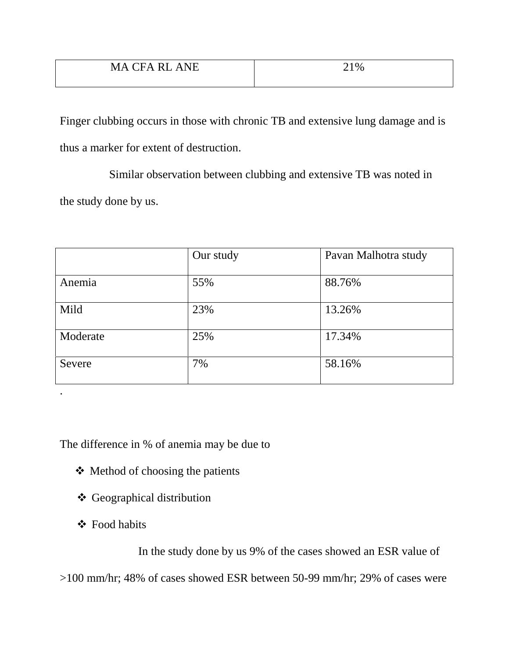Finger clubbing occurs in those with chronic TB and extensive lung damage and is thus a marker for extent of destruction.

Similar observation between clubbing and extensive TB was noted in the study done by us.

|          | Our study | Pavan Malhotra study |
|----------|-----------|----------------------|
| Anemia   | 55%       | 88.76%               |
| Mild     | 23%       | 13.26%               |
| Moderate | 25%       | 17.34%               |
| Severe   | 7%        | 58.16%               |

The difference in % of anemia may be due to

- $\triangleleft$  Method of choosing the patients
- Geographical distribution
- Food habits

.

In the study done by us 9% of the cases showed an ESR value of

>100 mm/hr; 48% of cases showed ESR between 50-99 mm/hr; 29% of cases were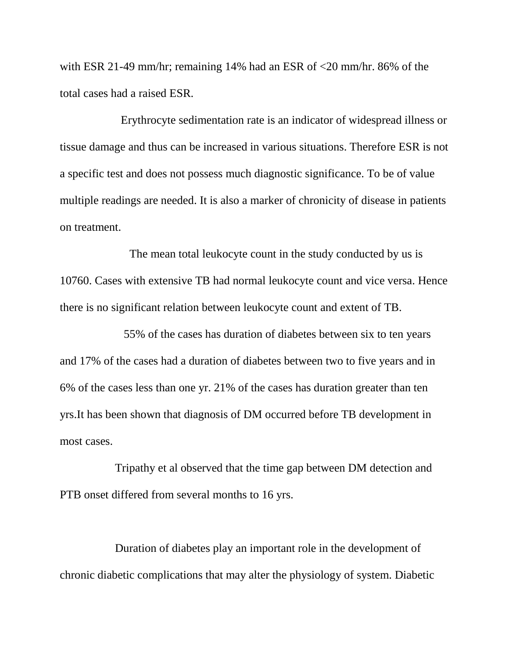with ESR 21-49 mm/hr; remaining 14% had an ESR of <20 mm/hr. 86% of the total cases had a raised ESR.

Erythrocyte sedimentation rate is an indicator of widespread illness or tissue damage and thus can be increased in various situations. Therefore ESR is not a specific test and does not possess much diagnostic significance. To be of value multiple readings are needed. It is also a marker of chronicity of disease in patients on treatment.

The mean total leukocyte count in the study conducted by us is 10760. Cases with extensive TB had normal leukocyte count and vice versa. Hence there is no significant relation between leukocyte count and extent of TB.

55% of the cases has duration of diabetes between six to ten years and 17% of the cases had a duration of diabetes between two to five years and in 6% of the cases less than one yr. 21% of the cases has duration greater than ten yrs.It has been shown that diagnosis of DM occurred before TB development in most cases.

Tripathy et al observed that the time gap between DM detection and PTB onset differed from several months to 16 yrs.

Duration of diabetes play an important role in the development of chronic diabetic complications that may alter the physiology of system. Diabetic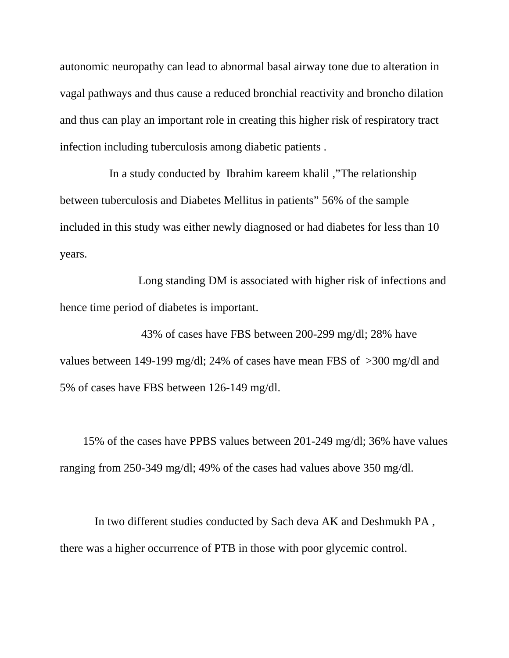autonomic neuropathy can lead to abnormal basal airway tone due to alteration in vagal pathways and thus cause a reduced bronchial reactivity and broncho dilation and thus can play an important role in creating this higher risk of respiratory tract infection including tuberculosis among diabetic patients .

In a study conducted by Ibrahim kareem khalil ,"The relationship between tuberculosis and Diabetes Mellitus in patients" 56% of the sample included in this study was either newly diagnosed or had diabetes for less than 10 years.

Long standing DM is associated with higher risk of infections and hence time period of diabetes is important.

43% of cases have FBS between 200-299 mg/dl; 28% have values between 149-199 mg/dl; 24% of cases have mean FBS of >300 mg/dl and 5% of cases have FBS between 126-149 mg/dl.

15% of the cases have PPBS values between 201-249 mg/dl; 36% have values ranging from 250-349 mg/dl; 49% of the cases had values above 350 mg/dl.

In two different studies conducted by Sach deva AK and Deshmukh PA , there was a higher occurrence of PTB in those with poor glycemic control.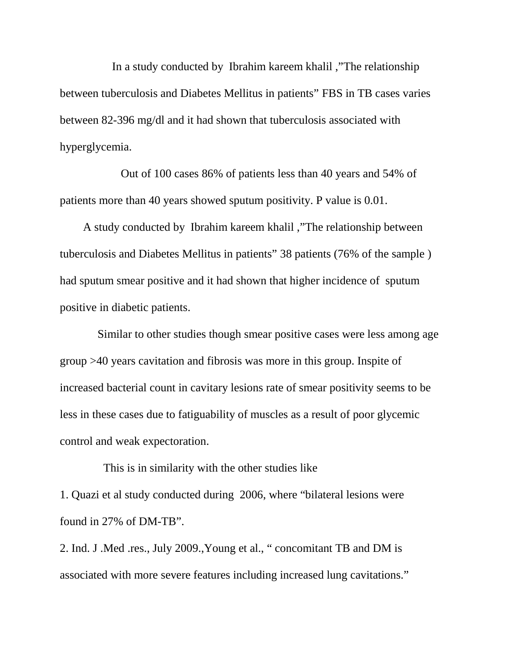In a study conducted by Ibrahim kareem khalil ,"The relationship between tuberculosis and Diabetes Mellitus in patients" FBS in TB cases varies between 82-396 mg/dl and it had shown that tuberculosis associated with hyperglycemia.

Out of 100 cases 86% of patients less than 40 years and 54% of patients more than 40 years showed sputum positivity. P value is 0.01.

A study conducted by Ibrahim kareem khalil ,"The relationship between tuberculosis and Diabetes Mellitus in patients" 38 patients (76% of the sample ) had sputum smear positive and it had shown that higher incidence of sputum positive in diabetic patients.

Similar to other studies though smear positive cases were less among age group >40 years cavitation and fibrosis was more in this group. Inspite of increased bacterial count in cavitary lesions rate of smear positivity seems to be less in these cases due to fatiguability of muscles as a result of poor glycemic control and weak expectoration.

This is in similarity with the other studies like 1. Quazi et al study conducted during 2006, where "bilateral lesions were found in 27% of DM-TB".

2. Ind. J .Med .res., July 2009.,Young et al., " concomitant TB and DM is associated with more severe features including increased lung cavitations."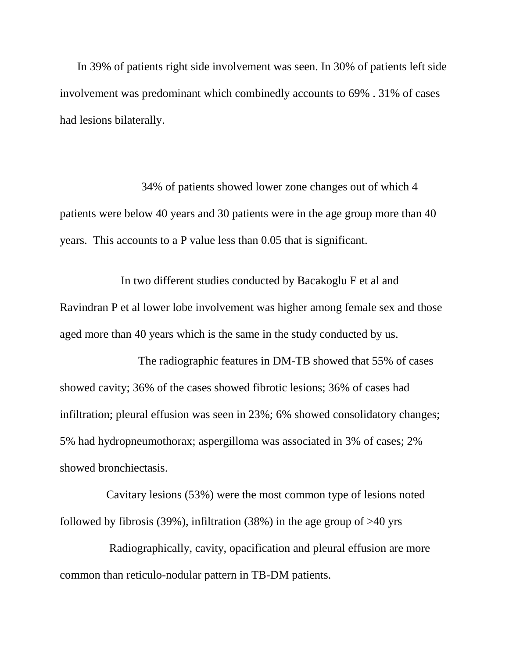In 39% of patients right side involvement was seen. In 30% of patients left side involvement was predominant which combinedly accounts to 69% . 31% of cases had lesions bilaterally.

34% of patients showed lower zone changes out of which 4 patients were below 40 years and 30 patients were in the age group more than 40 years. This accounts to a P value less than 0.05 that is significant.

In two different studies conducted by Bacakoglu F et al and Ravindran P et al lower lobe involvement was higher among female sex and those aged more than 40 years which is the same in the study conducted by us.

The radiographic features in DM-TB showed that 55% of cases showed cavity; 36% of the cases showed fibrotic lesions; 36% of cases had infiltration; pleural effusion was seen in 23%; 6% showed consolidatory changes; 5% had hydropneumothorax; aspergilloma was associated in 3% of cases; 2% showed bronchiectasis.

Cavitary lesions (53%) were the most common type of lesions noted followed by fibrosis (39%), infiltration (38%) in the age group of  $>40$  yrs

Radiographically, cavity, opacification and pleural effusion are more common than reticulo-nodular pattern in TB-DM patients.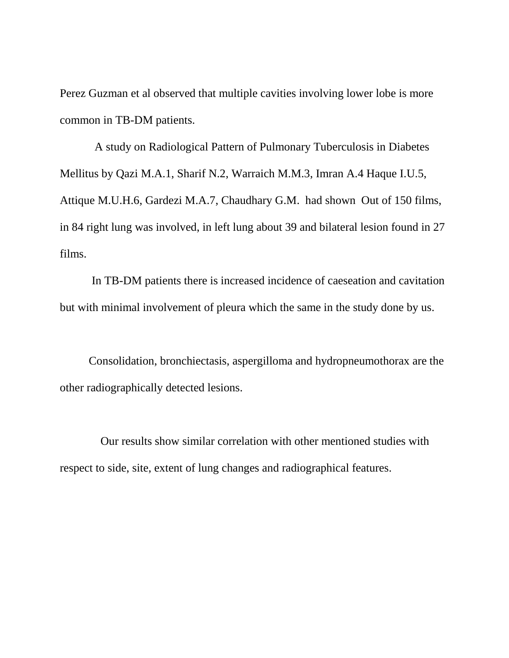Perez Guzman et al observed that multiple cavities involving lower lobe is more common in TB-DM patients.

A study on Radiological Pattern of Pulmonary Tuberculosis in Diabetes Mellitus by Qazi M.A.1, Sharif N.2, Warraich M.M.3, Imran A.4 Haque I.U.5, Attique M.U.H.6, Gardezi M.A.7, Chaudhary G.M. had shown Out of 150 films, in 84 right lung was involved, in left lung about 39 and bilateral lesion found in 27 films.

In TB-DM patients there is increased incidence of caeseation and cavitation but with minimal involvement of pleura which the same in the study done by us.

Consolidation, bronchiectasis, aspergilloma and hydropneumothorax are the other radiographically detected lesions.

Our results show similar correlation with other mentioned studies with respect to side, site, extent of lung changes and radiographical features.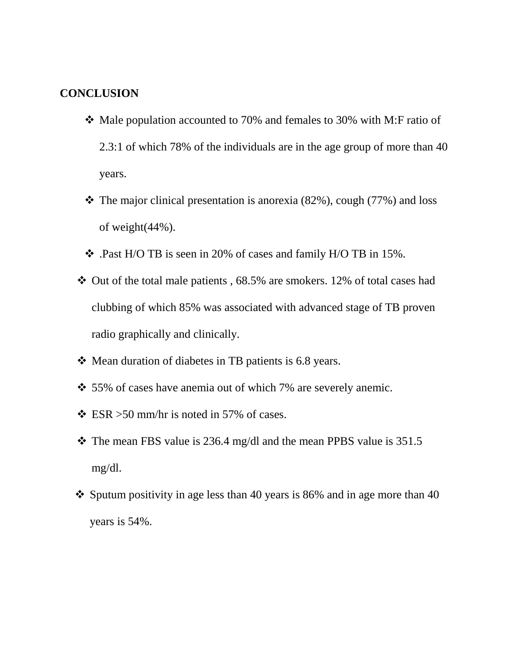# **CONCLUSION**

- Male population accounted to 70% and females to 30% with M:F ratio of 2.3:1 of which 78% of the individuals are in the age group of more than 40 years.
- $\cdot \cdot$  The major clinical presentation is anorexia (82%), cough (77%) and loss of weight(44%).
- .Past H/O TB is seen in 20% of cases and family H/O TB in 15%.
- $\div$  Out of the total male patients, 68.5% are smokers. 12% of total cases had clubbing of which 85% was associated with advanced stage of TB proven radio graphically and clinically.
- Mean duration of diabetes in TB patients is 6.8 years.
- 55% of cases have anemia out of which 7% are severely anemic.
- $\div$  ESR > 50 mm/hr is noted in 57% of cases.
- $\cdot$  The mean FBS value is 236.4 mg/dl and the mean PPBS value is 351.5 mg/dl.
- $\div$  Sputum positivity in age less than 40 years is 86% and in age more than 40 years is 54%.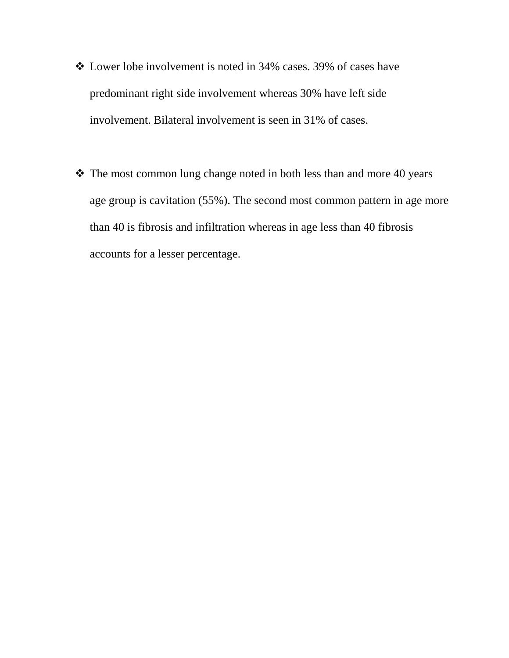- Lower lobe involvement is noted in 34% cases. 39% of cases have predominant right side involvement whereas 30% have left side involvement. Bilateral involvement is seen in 31% of cases.
- \* The most common lung change noted in both less than and more 40 years age group is cavitation (55%). The second most common pattern in age more than 40 is fibrosis and infiltration whereas in age less than 40 fibrosis accounts for a lesser percentage.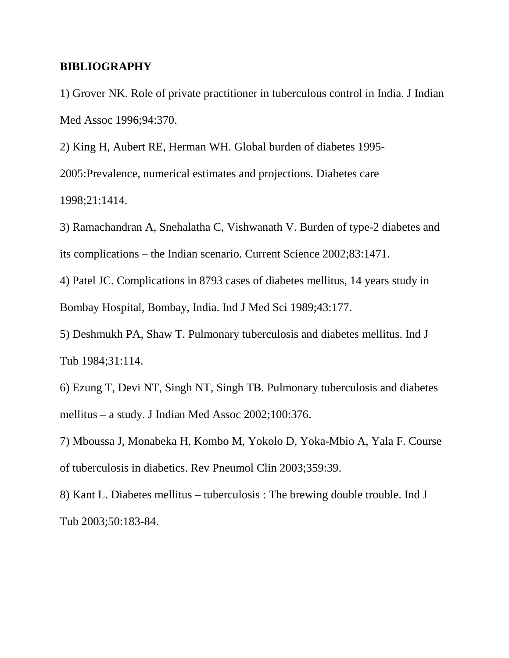#### **BIBLIOGRAPHY**

1) Grover NK. Role of private practitioner in tuberculous control in India. J Indian Med Assoc 1996;94:370.

2) King H, Aubert RE, Herman WH. Global burden of diabetes 1995- 2005:Prevalence, numerical estimates and projections. Diabetes care 1998;21:1414.

3) Ramachandran A, Snehalatha C, Vishwanath V. Burden of type-2 diabetes and its complications – the Indian scenario. Current Science 2002;83:1471.

4) Patel JC. Complications in 8793 cases of diabetes mellitus, 14 years study in Bombay Hospital, Bombay, India. Ind J Med Sci 1989;43:177.

5) Deshmukh PA, Shaw T. Pulmonary tuberculosis and diabetes mellitus. Ind J Tub 1984;31:114.

6) Ezung T, Devi NT, Singh NT, Singh TB. Pulmonary tuberculosis and diabetes mellitus – a study. J Indian Med Assoc 2002;100:376.

7) Mboussa J, Monabeka H, Kombo M, Yokolo D, Yoka-Mbio A, Yala F. Course of tuberculosis in diabetics. Rev Pneumol Clin 2003;359:39.

8) Kant L. Diabetes mellitus – tuberculosis : The brewing double trouble. Ind J Tub 2003;50:183-84.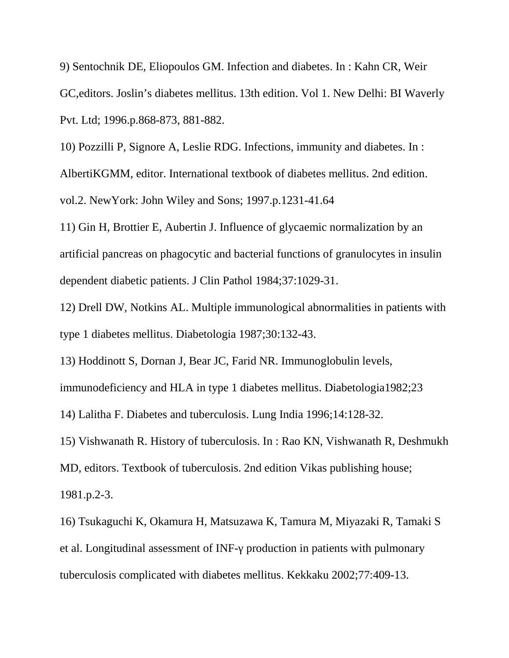9) Sentochnik DE, Eliopoulos GM. Infection and diabetes. In : Kahn CR, Weir GC,editors. Joslin's diabetes mellitus. 13th edition. Vol 1. New Delhi: BI Waverly Pvt. Ltd; 1996.p.868-873, 881-882.

10) Pozzilli P, Signore A, Leslie RDG. Infections, immunity and diabetes. In : AlbertiKGMM, editor. International textbook of diabetes mellitus. 2nd edition. vol.2. NewYork: John Wiley and Sons; 1997.p.1231-41.64

11) Gin H, Brottier E, Aubertin J. Influence of glycaemic normalization by an artificial pancreas on phagocytic and bacterial functions of granulocytes in insulin dependent diabetic patients. J Clin Pathol 1984;37:1029-31.

12) Drell DW, Notkins AL. Multiple immunological abnormalities in patients with type 1 diabetes mellitus. Diabetologia 1987;30:132-43.

13) Hoddinott S, Dornan J, Bear JC, Farid NR. Immunoglobulin levels,

immunodeficiency and HLA in type 1 diabetes mellitus. Diabetologia1982;23

14) Lalitha F. Diabetes and tuberculosis. Lung India 1996;14:128-32.

15) Vishwanath R. History of tuberculosis. In : Rao KN, Vishwanath R, Deshmukh MD, editors. Textbook of tuberculosis. 2nd edition Vikas publishing house; 1981.p.2-3.

16) Tsukaguchi K, Okamura H, Matsuzawa K, Tamura M, Miyazaki R, Tamaki S et al. Longitudinal assessment of INF- production in patients with pulmonary tuberculosis complicated with diabetes mellitus. Kekkaku 2002;77:409-13.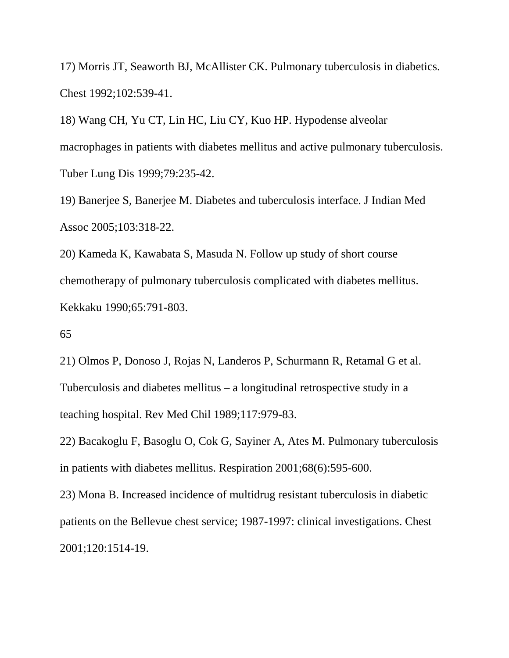17) Morris JT, Seaworth BJ, McAllister CK. Pulmonary tuberculosis in diabetics. Chest 1992;102:539-41.

18) Wang CH, Yu CT, Lin HC, Liu CY, Kuo HP. Hypodense alveolar macrophages in patients with diabetes mellitus and active pulmonary tuberculosis. Tuber Lung Dis 1999;79:235-42.

19) Banerjee S, Banerjee M. Diabetes and tuberculosis interface. J Indian Med Assoc 2005;103:318-22.

20) Kameda K, Kawabata S, Masuda N. Follow up study of short course chemotherapy of pulmonary tuberculosis complicated with diabetes mellitus. Kekkaku 1990;65:791-803.

#### 65

21) Olmos P, Donoso J, Rojas N, Landeros P, Schurmann R, Retamal G et al. Tuberculosis and diabetes mellitus – a longitudinal retrospective study in a teaching hospital. Rev Med Chil 1989;117:979-83.

22) Bacakoglu F, Basoglu O, Cok G, Sayiner A, Ates M. Pulmonary tuberculosis in patients with diabetes mellitus. Respiration 2001;68(6):595-600.

23) Mona B. Increased incidence of multidrug resistant tuberculosis in diabetic patients on the Bellevue chest service; 1987-1997: clinical investigations. Chest 2001;120:1514-19.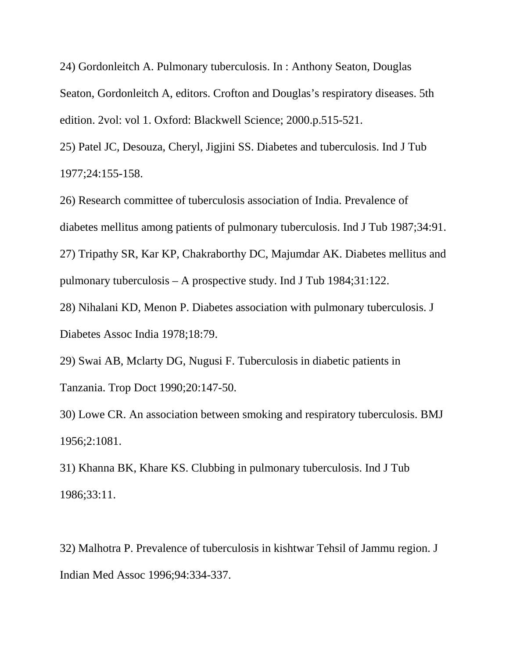24) Gordonleitch A. Pulmonary tuberculosis. In : Anthony Seaton, Douglas Seaton, Gordonleitch A, editors. Crofton and Douglas's respiratory diseases. 5th edition. 2vol: vol 1. Oxford: Blackwell Science; 2000.p.515-521.

25) Patel JC, Desouza, Cheryl, Jigjini SS. Diabetes and tuberculosis. Ind J Tub 1977;24:155-158.

26) Research committee of tuberculosis association of India. Prevalence of diabetes mellitus among patients of pulmonary tuberculosis. Ind J Tub 1987;34:91. 27) Tripathy SR, Kar KP, Chakraborthy DC, Majumdar AK. Diabetes mellitus and pulmonary tuberculosis – A prospective study. Ind J Tub 1984;31:122.

28) Nihalani KD, Menon P. Diabetes association with pulmonary tuberculosis. J Diabetes Assoc India 1978;18:79.

29) Swai AB, Mclarty DG, Nugusi F. Tuberculosis in diabetic patients in Tanzania. Trop Doct 1990;20:147-50.

30) Lowe CR. An association between smoking and respiratory tuberculosis. BMJ 1956;2:1081.

31) Khanna BK, Khare KS. Clubbing in pulmonary tuberculosis. Ind J Tub 1986;33:11.

32) Malhotra P. Prevalence of tuberculosis in kishtwar Tehsil of Jammu region. J Indian Med Assoc 1996;94:334-337.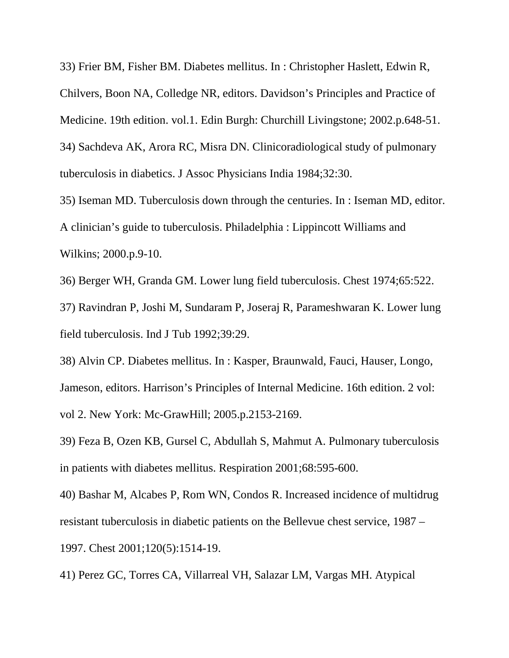33) Frier BM, Fisher BM. Diabetes mellitus. In : Christopher Haslett, Edwin R, Chilvers, Boon NA, Colledge NR, editors. Davidson's Principles and Practice of Medicine. 19th edition. vol.1. Edin Burgh: Churchill Livingstone; 2002.p.648-51. 34) Sachdeva AK, Arora RC, Misra DN. Clinicoradiological study of pulmonary tuberculosis in diabetics. J Assoc Physicians India 1984;32:30.

35) Iseman MD. Tuberculosis down through the centuries. In : Iseman MD, editor. A clinician's guide to tuberculosis. Philadelphia : Lippincott Williams and Wilkins; 2000.p.9-10.

36) Berger WH, Granda GM. Lower lung field tuberculosis. Chest 1974;65:522.

37) Ravindran P, Joshi M, Sundaram P, Joseraj R, Parameshwaran K. Lower lung field tuberculosis. Ind J Tub 1992;39:29.

38) Alvin CP. Diabetes mellitus. In : Kasper, Braunwald, Fauci, Hauser, Longo, Jameson, editors. Harrison's Principles of Internal Medicine. 16th edition. 2 vol: vol 2. New York: Mc-GrawHill; 2005.p.2153-2169.

39) Feza B, Ozen KB, Gursel C, Abdullah S, Mahmut A. Pulmonary tuberculosis in patients with diabetes mellitus. Respiration 2001;68:595-600.

40) Bashar M, Alcabes P, Rom WN, Condos R. Increased incidence of multidrug resistant tuberculosis in diabetic patients on the Bellevue chest service, 1987 – 1997. Chest 2001;120(5):1514-19.

41) Perez GC, Torres CA, Villarreal VH, Salazar LM, Vargas MH. Atypical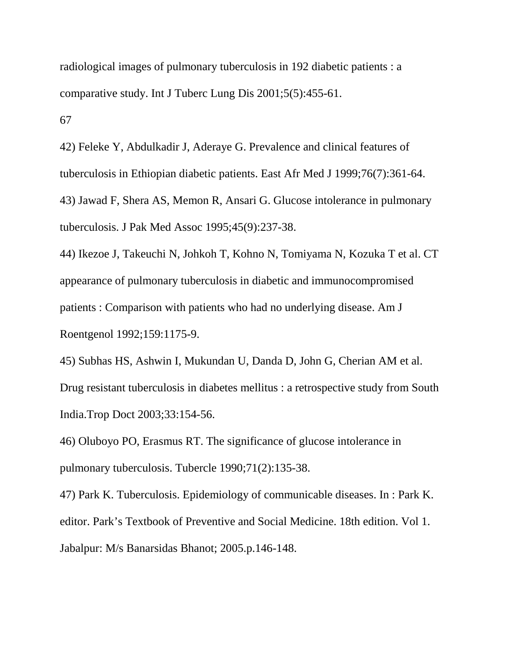radiological images of pulmonary tuberculosis in 192 diabetic patients : a comparative study. Int J Tuberc Lung Dis 2001;5(5):455-61. 67

42) Feleke Y, Abdulkadir J, Aderaye G. Prevalence and clinical features of tuberculosis in Ethiopian diabetic patients. East Afr Med J 1999;76(7):361-64. 43) Jawad F, Shera AS, Memon R, Ansari G. Glucose intolerance in pulmonary tuberculosis. J Pak Med Assoc 1995;45(9):237-38.

44) Ikezoe J, Takeuchi N, Johkoh T, Kohno N, Tomiyama N, Kozuka T et al. CT appearance of pulmonary tuberculosis in diabetic and immunocompromised patients : Comparison with patients who had no underlying disease. Am J Roentgenol 1992;159:1175-9.

45) Subhas HS, Ashwin I, Mukundan U, Danda D, John G, Cherian AM et al. Drug resistant tuberculosis in diabetes mellitus : a retrospective study from South India.Trop Doct 2003;33:154-56.

46) Oluboyo PO, Erasmus RT. The significance of glucose intolerance in pulmonary tuberculosis. Tubercle 1990;71(2):135-38.

47) Park K. Tuberculosis. Epidemiology of communicable diseases. In : Park K. editor. Park's Textbook of Preventive and Social Medicine. 18th edition. Vol 1. Jabalpur: M/s Banarsidas Bhanot; 2005.p.146-148.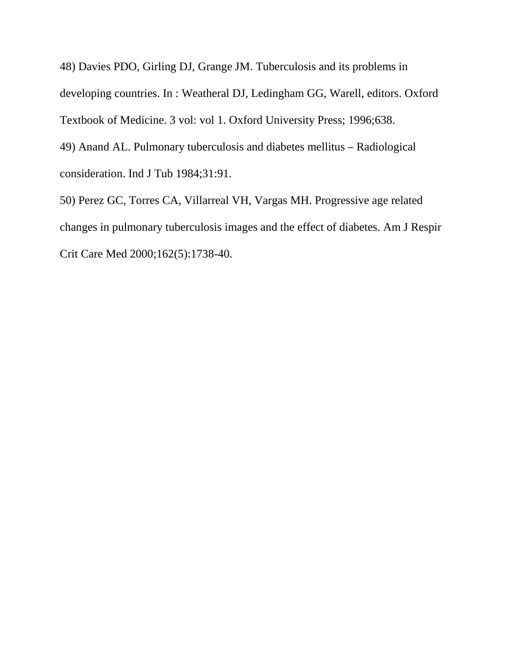48) Davies PDO, Girling DJ, Grange JM. Tuberculosis and its problems in developing countries. In : Weatheral DJ, Ledingham GG, Warell, editors. Oxford Textbook of Medicine. 3 vol: vol 1. Oxford University Press; 1996;638. 49) Anand AL. Pulmonary tuberculosis and diabetes mellitus – Radiological consideration. Ind J Tub 1984;31:91.

50) Perez GC, Torres CA, Villarreal VH, Vargas MH. Progressive age related changes in pulmonary tuberculosis images and the effect of diabetes. Am J Respir Crit Care Med 2000;162(5):1738-40.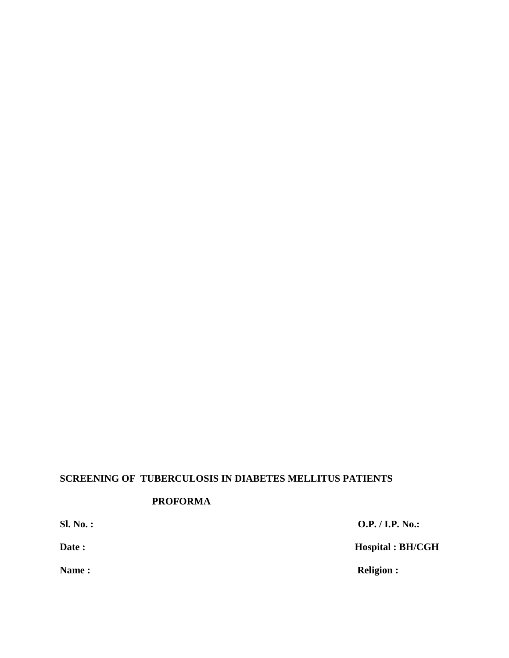# **SCREENING OF TUBERCULOSIS IN DIABETES MELLITUS PATIENTS**

#### **PROFORMA**

**Sl. No. : O.P. / I.P. No.: Date : Hospital : BH/CGH Name : Religion : Religion :**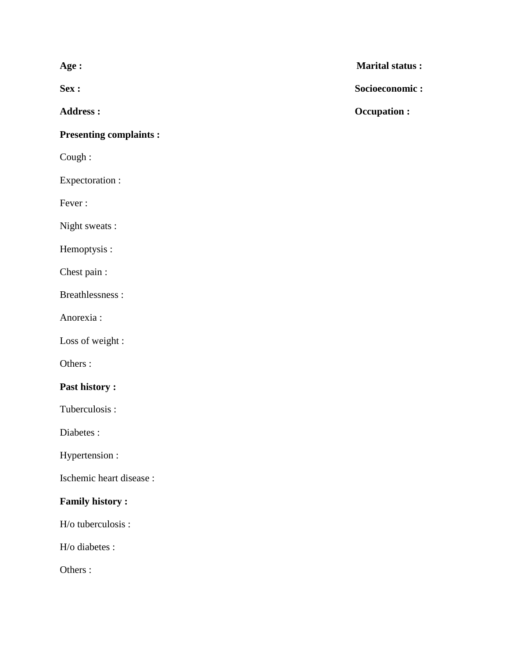#### **Presenting complaints :**

Cough :

Expectoration :

Fever :

Night sweats :

Hemoptysis :

Chest pain :

Breathlessness :

Anorexia :

Loss of weight :

Others :

### **Past history :**

Tuberculosis :

Diabetes :

Hypertension :

Ischemic heart disease :

### **Family history :**

H/o tuberculosis :

H/o diabetes :

Others :

**Age : Marital status :**

**Sex : Socioeconomic :**

**Address : Occupation :**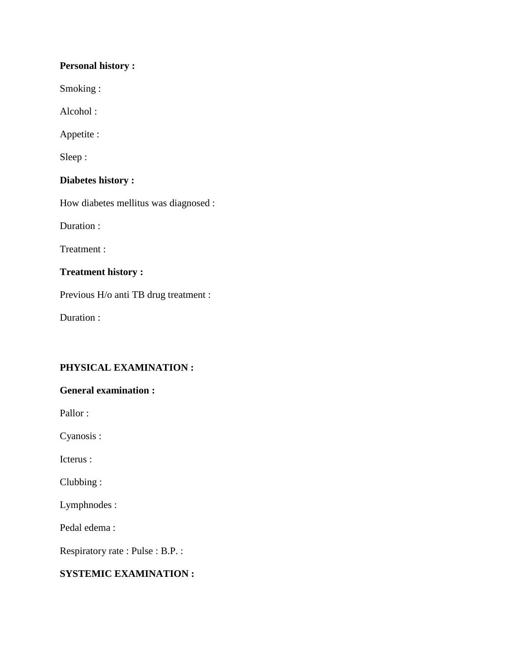#### **Personal history :**

Smoking :

Alcohol :

Appetite :

Sleep :

### **Diabetes history :**

How diabetes mellitus was diagnosed :

Duration :

Treatment :

## **Treatment history :**

Previous H/o anti TB drug treatment :

Duration :

## **PHYSICAL EXAMINATION :**

#### **General examination :**

Pallor :

Cyanosis :

Icterus :

Clubbing :

Lymphnodes :

Pedal edema :

Respiratory rate : Pulse : B.P. :

## **SYSTEMIC EXAMINATION :**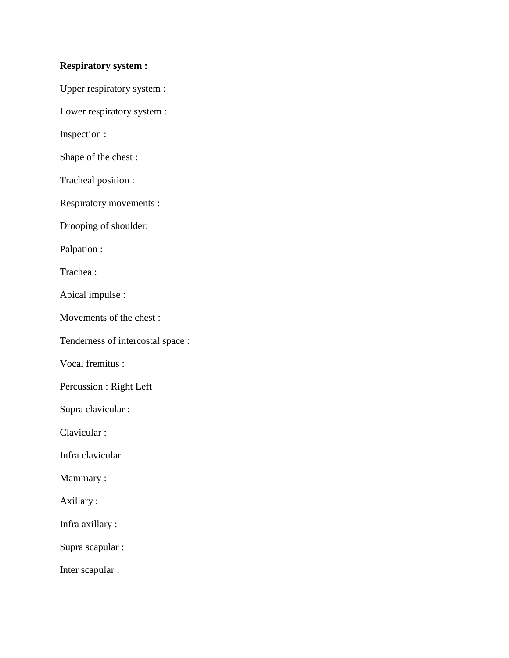#### **Respiratory system :**

Upper respiratory system :

Lower respiratory system :

Inspection :

Shape of the chest :

Tracheal position :

Respiratory movements :

Drooping of shoulder:

Palpation :

Trachea :

Apical impulse :

Movements of the chest :

Tenderness of intercostal space :

Vocal fremitus :

Percussion : Right Left

Supra clavicular :

Clavicular :

Infra clavicular

Mammary :

Axillary :

Infra axillary :

Supra scapular :

Inter scapular :